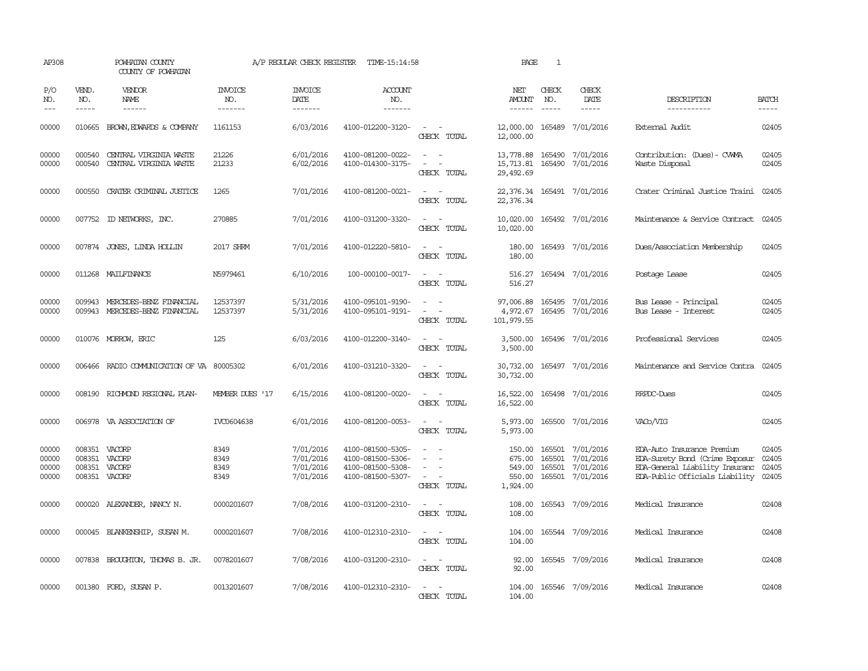| AP308                            |                                                    | POWHATAN COUNTY<br>COUNTY OF POWHATAN                            |                                  | A/P REGULAR CHECK REGISTER                       | TIME-15:14:58                                                                    |                                                                                                               | PAGE                                             | $\mathbf{1}$                |                                                         |                                                                                                                                  |                                  |
|----------------------------------|----------------------------------------------------|------------------------------------------------------------------|----------------------------------|--------------------------------------------------|----------------------------------------------------------------------------------|---------------------------------------------------------------------------------------------------------------|--------------------------------------------------|-----------------------------|---------------------------------------------------------|----------------------------------------------------------------------------------------------------------------------------------|----------------------------------|
| P/O<br>NO.<br>$---$              | VEND.<br>NO.<br>$- - - - -$                        | VENDOR<br><b>NAME</b><br>$- - - - - -$                           | <b>INVOICE</b><br>NO.<br>------- | <b>INVOICE</b><br><b>DATE</b><br>-------         | ACCOUNT<br>NO.<br>-------                                                        |                                                                                                               | NET<br>AMOUNT<br>$- - - - - -$                   | CHECK<br>NO.<br>$- - - - -$ | CHECK<br>DATE<br>$- - - - -$                            | DESCRIPTION<br>-----------                                                                                                       | <b>BATCH</b><br>-----            |
| 00000                            |                                                    | 010665 BROWN, EDWARDS & COMPANY                                  | 1161153                          | 6/03/2016                                        | 4100-012200-3120-                                                                | $\sim$ $\sim$<br>CHECK TOTAL                                                                                  | 12,000.00<br>12,000.00                           |                             | 165489 7/01/2016                                        | External Audit.                                                                                                                  | 02405                            |
| 00000<br>00000                   | 000540<br>000540                                   | CENTRAL VIRGINIA WASTE<br>CENTRAL VIRGINIA WASTE                 | 21226<br>21233                   | 6/01/2016<br>6/02/2016                           | 4100-081200-0022-<br>4100-014300-3175-                                           | $\sim$<br>$\sim$<br>$\equiv$<br>$\sim$<br>CHECK TOTAL                                                         | 13,778.88<br>15,713.81<br>29,492.69              |                             | 165490 7/01/2016<br>165490 7/01/2016                    | Contribution: (Dues) - CWMA<br>Waste Disposal                                                                                    | 02405<br>02405                   |
| 00000                            |                                                    | 000550 CRATER CRIMINAL JUSTICE                                   | 1265                             | 7/01/2016                                        | 4100-081200-0021-                                                                | $\sim$<br>CHECK TOTAL                                                                                         | 22,376.34 165491 7/01/2016<br>22,376.34          |                             |                                                         | Crater Criminal Justice Traini                                                                                                   | 02405                            |
| 00000                            |                                                    | 007752 ID NEIWORKS, INC.                                         | 270885                           | 7/01/2016                                        | 4100-031200-3320-                                                                | $\sim$ 100 $\sim$<br>CHECK TOTAL                                                                              | 10,020.00<br>10,020.00                           |                             | 165492 7/01/2016                                        | Maintenance & Service Contract                                                                                                   | 02405                            |
| 00000                            |                                                    | 007874 JONES, LINDA HOLLIN                                       | 2017 SHRM                        | 7/01/2016                                        | 4100-012220-5810-                                                                | $\overline{\phantom{a}}$<br>CHECK TOTAL                                                                       | 180.00<br>180.00                                 |                             | 165493 7/01/2016                                        | Dues/Association Membership                                                                                                      | 02405                            |
| 00000                            |                                                    | 011268 MAILFINANCE                                               | N5979461                         | 6/10/2016                                        | 100-000100-0017-                                                                 | $\sim$<br>CHECK TOTAL                                                                                         | 516.27<br>516.27                                 |                             | 165494 7/01/2016                                        | Postage Lease                                                                                                                    | 02405                            |
| 00000<br>00000                   |                                                    | 009943 MERCEDES-BENZ FINANCIAL<br>009943 MERCEDES-BENZ FINANCIAL | 12537397<br>12537397             | 5/31/2016<br>5/31/2016                           | 4100-095101-9190-<br>4100-095101-9191-                                           | $\overline{\phantom{a}}$<br>$\sim$<br>$\sim$<br>$\sim$<br>CHECK TOTAL                                         | 97,006.88<br>4,972.67<br>101,979.55              |                             | 165495 7/01/2016<br>165495 7/01/2016                    | Bus Lease - Principal<br>Bus Lease - Interest                                                                                    | 02405<br>02405                   |
| 00000                            |                                                    | 010076 MORROW, ERIC                                              | 125                              | 6/03/2016                                        | 4100-012200-3140-                                                                | $\sim$<br>$\sim$<br>CHECK TOTAL                                                                               | 3,500.00<br>3,500.00                             |                             | 165496 7/01/2016                                        | Professional Services                                                                                                            | 02405                            |
| 00000                            | 006466                                             | RADIO COMMUNICATION OF VA 80005302                               |                                  | 6/01/2016                                        | 4100-031210-3320-                                                                | $\frac{1}{2} \left( \frac{1}{2} \right) \left( \frac{1}{2} \right) \left( \frac{1}{2} \right)$<br>CHECK TOTAL | 30,732.00<br>30,732.00                           |                             | 165497 7/01/2016                                        | Maintenance and Service Contra                                                                                                   | 02405                            |
| 00000                            |                                                    | 008190 RICHMOND REGIONAL PLAN-                                   | MEMBER DUES '17                  | 6/15/2016                                        | 4100-081200-0020-                                                                | $\equiv$<br>$\sim$<br>CHECK TOTAL                                                                             | 16,522.00<br>16,522.00                           |                             | 165498 7/01/2016                                        | RRPDC-Dues                                                                                                                       | 02405                            |
| 00000                            |                                                    | 006978 VA ASSOCIATION OF                                         | IVC0604638                       | 6/01/2016                                        | 4100-081200-0053-                                                                | $\sim$ $\sim$<br>CHECK TOTAL                                                                                  | 5,973.00<br>5,973.00                             |                             | 165500 7/01/2016                                        | VAC <sub>O</sub> /VIG                                                                                                            | 02405                            |
| 00000<br>00000<br>00000<br>00000 | 008351 VACORP<br>008351<br>008351 VACORP<br>008351 | VACORP<br>VACORP                                                 | 8349<br>8349<br>8349<br>8349     | 7/01/2016<br>7/01/2016<br>7/01/2016<br>7/01/2016 | 4100-081500-5305-<br>4100-081500-5306-<br>4100-081500-5308-<br>4100-081500-5307- | $\equiv$<br>$\overline{\phantom{a}}$<br>CHECK TOTAL                                                           | 150.00<br>675.00<br>549.00<br>550.00<br>1,924.00 | 165501<br>165501<br>165501  | 165501 7/01/2016<br>7/01/2016<br>7/01/2016<br>7/01/2016 | EDA-Auto Insurance Premium<br>EDA-Surety Bond (Crime Exposur<br>EDA-General Liability Insuranc<br>EDA-Public Officials Liability | 02405<br>02405<br>02405<br>02405 |
| 00000                            |                                                    | 000020 ALEXANDER, NANCY N.                                       | 0000201607                       | 7/08/2016                                        | 4100-031200-2310-                                                                | $\equiv$<br>CHECK TOTAL                                                                                       | 108.00<br>108.00                                 |                             | 165543 7/09/2016                                        | Medical Insurance                                                                                                                | 02408                            |
| 00000                            |                                                    | 000045 BLANKENSHIP, SUSAN M.                                     | 0000201607                       | 7/08/2016                                        | 4100-012310-2310-                                                                | CHECK TOTAL                                                                                                   | 104.00<br>104.00                                 |                             | 165544 7/09/2016                                        | Medical Insurance                                                                                                                | 02408                            |
| 00000                            |                                                    | 007838 BROUGHTON, THOMAS B. JR.                                  | 0078201607                       | 7/08/2016                                        | 4100-031200-2310-                                                                | $\sim$<br>$\overline{\phantom{a}}$<br>CHECK TOTAL                                                             | 92.00<br>92.00                                   |                             | 165545 7/09/2016                                        | Medical Insurance                                                                                                                | 02408                            |
| 00000                            |                                                    | 001380 FORD, SUSAN P.                                            | 0013201607                       | 7/08/2016                                        | 4100-012310-2310-                                                                | $\sim$<br>$\sim$<br>CHECK TOTAL                                                                               | 104.00<br>104.00                                 |                             | 165546 7/09/2016                                        | Medical Insurance                                                                                                                | 02408                            |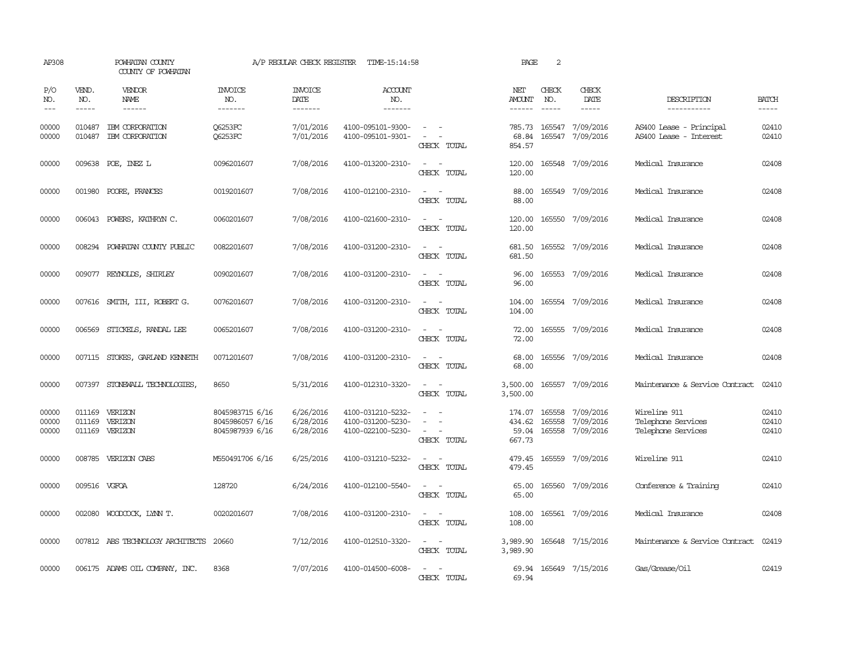| AP308                   |                             | POWHATAN COUNTY<br>COUNTY OF POWHATAN |                                                       | A/P REGULAR CHECK REGISTER          | TIME-15:14:58                                               |                                                                                                                             | PAGE                                | 2                |                                            |                                                          |                             |
|-------------------------|-----------------------------|---------------------------------------|-------------------------------------------------------|-------------------------------------|-------------------------------------------------------------|-----------------------------------------------------------------------------------------------------------------------------|-------------------------------------|------------------|--------------------------------------------|----------------------------------------------------------|-----------------------------|
| P/O<br>NO.<br>$---$     | VEND.<br>NO.<br>$- - - - -$ | VENDOR<br>NAME<br>------              | <b>INVOICE</b><br>NO.<br>-------                      | <b>INVOICE</b><br>DATE<br>-------   | <b>ACCOUNT</b><br>NO.<br>-------                            |                                                                                                                             | NET<br>AMOUNT<br>------             | CHECK<br>NO.     | CHECK<br>DATE<br>$- - - - -$               | DESCRIPTION<br>-----------                               | <b>BATCH</b><br>$- - - - -$ |
| 00000<br>00000          | 010487<br>010487            | IBM CORPORATION<br>IBM CORPORATION    | <b>O6253FC</b><br>Q6253FC                             | 7/01/2016<br>7/01/2016              | 4100-095101-9300-<br>4100-095101-9301-                      | CHECK TOTAL                                                                                                                 | 785.73<br>68.84<br>854.57           | 165547           | 7/09/2016<br>165547 7/09/2016              | AS400 Lease - Principal<br>AS400 Lease - Interest        | 02410<br>02410              |
| 00000                   |                             | 009638 POE, INEZ L                    | 0096201607                                            | 7/08/2016                           | 4100-013200-2310-                                           | $\sim$<br>$\sim$<br>CHECK TOTAL                                                                                             | 120.00<br>120.00                    |                  | 165548 7/09/2016                           | Medical Insurance                                        | 02408                       |
| 00000                   |                             | 001980 POORE, FRANCES                 | 0019201607                                            | 7/08/2016                           | 4100-012100-2310-                                           | $\equiv$<br>$\sim$<br>CHECK TOTAL                                                                                           | 88.00<br>88.00                      |                  | 165549 7/09/2016                           | Medical Insurance                                        | 02408                       |
| 00000                   |                             | 006043 POWERS, KATHRYN C.             | 0060201607                                            | 7/08/2016                           | 4100-021600-2310-                                           | $\sim$<br>$\overline{\phantom{a}}$<br>CHECK TOTAL                                                                           | 120.00<br>120.00                    |                  | 165550 7/09/2016                           | Medical Insurance                                        | 02408                       |
| 00000                   | 008294                      | POWHATAN COUNTY PUBLIC                | 0082201607                                            | 7/08/2016                           | 4100-031200-2310-                                           | $\equiv$<br>CHECK TOTAL                                                                                                     | 681.50<br>681.50                    |                  | 165552 7/09/2016                           | Medical Insurance                                        | 02408                       |
| 00000                   | 009077                      | REYNOLDS, SHIRLEY                     | 0090201607                                            | 7/08/2016                           | 4100-031200-2310-                                           | $\equiv$<br>$\overline{\phantom{a}}$<br>CHECK TOTAL                                                                         | 96.00<br>96.00                      |                  | 165553 7/09/2016                           | Medical Insurance                                        | 02408                       |
| 00000                   |                             | 007616 SMITH, III, ROBERT G.          | 0076201607                                            | 7/08/2016                           | 4100-031200-2310-                                           | $\sim$<br>$\sim$<br>CHECK TOTAL                                                                                             | 104.00<br>104.00                    |                  | 165554 7/09/2016                           | Medical Insurance                                        | 02408                       |
| 00000                   | 006569                      | STICKELS, RANDAL LEE                  | 0065201607                                            | 7/08/2016                           | 4100-031200-2310-                                           | $\sim$<br>$\sim$<br>CHECK TOTAL                                                                                             | 72.00<br>72.00                      |                  | 165555 7/09/2016                           | Medical Insurance                                        | 02408                       |
| 00000                   |                             | 007115 STOKES, GARLAND KENNETH        | 0071201607                                            | 7/08/2016                           | 4100-031200-2310-                                           | $\overline{\phantom{a}}$<br>$\sim$<br>CHECK TOTAL                                                                           | 68.00<br>68.00                      |                  | 165556 7/09/2016                           | Medical Insurance                                        | 02408                       |
| 00000                   |                             | 007397 STONEWALL TECHNOLOGIES,        | 8650                                                  | 5/31/2016                           | 4100-012310-3320-                                           | $\frac{1}{2} \left( \frac{1}{2} \right) \left( \frac{1}{2} \right) = \frac{1}{2} \left( \frac{1}{2} \right)$<br>CHECK TOTAL | 3,500.00<br>3,500.00                |                  | 165557 7/09/2016                           | Maintenance & Service Contract                           | 02410                       |
| 00000<br>00000<br>00000 | 011169<br>011169            | VERIZON<br>VERIZON<br>011169 VERIZON  | 8045983715 6/16<br>8045986057 6/16<br>8045987939 6/16 | 6/26/2016<br>6/28/2016<br>6/28/2016 | 4100-031210-5232-<br>4100-031200-5230-<br>4100-022100-5230- | $\equiv$<br>CHECK TOTAL                                                                                                     | 174.07<br>434.62<br>59.04<br>667.73 | 165558<br>165558 | 7/09/2016<br>7/09/2016<br>165558 7/09/2016 | Wireline 911<br>Telephone Services<br>Telephone Services | 02410<br>02410<br>02410     |
| 00000                   |                             | 008785 VERIZON CABS                   | M550491706 6/16                                       | 6/25/2016                           | 4100-031210-5232-                                           | $\sim$<br>$\sim$<br>CHECK TOTAL                                                                                             | 479.45<br>479.45                    |                  | 165559 7/09/2016                           | Wireline 911                                             | 02410                       |
| 00000                   | 009516 VGFOA                |                                       | 128720                                                | 6/24/2016                           | 4100-012100-5540-                                           | $\sim$<br>CHECK TOTAL                                                                                                       | 65.00<br>65.00                      |                  | 165560 7/09/2016                           | Conference & Training                                    | 02410                       |
| 00000                   |                             | 002080 WOODCOCK, LYNN T.              | 0020201607                                            | 7/08/2016                           | 4100-031200-2310-                                           | $\overline{\phantom{a}}$<br>CHECK TOTAL                                                                                     | 108.00<br>108.00                    |                  | 165561 7/09/2016                           | Medical Insurance                                        | 02408                       |
| 00000                   |                             | 007812 ABS TECHNOLOGY ARCHITECTS      | 20660                                                 | 7/12/2016                           | 4100-012510-3320-                                           | $\equiv$<br>$\sim$<br>CHECK TOTAL                                                                                           | 3,989.90<br>3,989.90                |                  | 165648 7/15/2016                           | Maintenance & Service Contract                           | 02419                       |
| 00000                   |                             | 006175 ADAMS OIL COMPANY, INC.        | 8368                                                  | 7/07/2016                           | 4100-014500-6008-                                           | $\overline{\phantom{0}}$<br>CHECK TOTAL                                                                                     | 69.94<br>69.94                      |                  | 165649 7/15/2016                           | Gas/Grease/Oil                                           | 02419                       |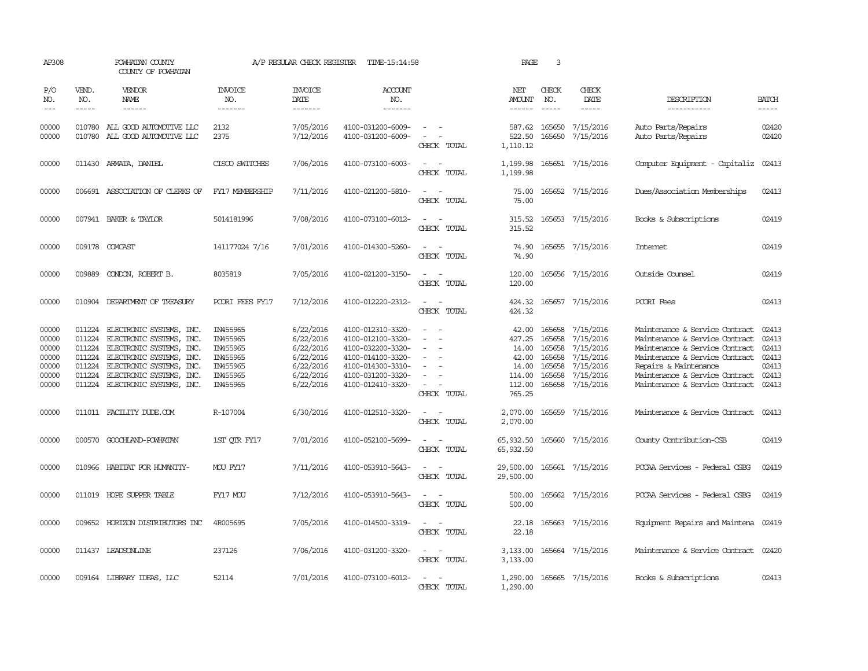| AP308                                                       |                                                          | POWHATAN COUNTY<br>COUNTY OF POWHATAN                                                                                                                                                                   |                                                                                  | A/P REGULAR CHECK REGISTER                                                              | TIME-15:14:58                                                                                                                                   |                                                                                                                             | PAGE                                                                     | 3                                                        |                                                                                                |                                                                                                                                                                                                                                   |                                                             |
|-------------------------------------------------------------|----------------------------------------------------------|---------------------------------------------------------------------------------------------------------------------------------------------------------------------------------------------------------|----------------------------------------------------------------------------------|-----------------------------------------------------------------------------------------|-------------------------------------------------------------------------------------------------------------------------------------------------|-----------------------------------------------------------------------------------------------------------------------------|--------------------------------------------------------------------------|----------------------------------------------------------|------------------------------------------------------------------------------------------------|-----------------------------------------------------------------------------------------------------------------------------------------------------------------------------------------------------------------------------------|-------------------------------------------------------------|
| P/O<br>NO.<br>$---$                                         | VEND.<br>NO.<br>$\frac{1}{2}$                            | VENDOR<br>NAME<br>------                                                                                                                                                                                | <b>INVOICE</b><br>NO.<br>-------                                                 | <b>INVOICE</b><br>DATE<br>-------                                                       | <b>ACCOUNT</b><br>NO.<br>-------                                                                                                                |                                                                                                                             | NET<br>AMOUNT<br>------                                                  | CHECK<br>NO.<br>$\frac{1}{2}$                            | CHECK<br>DATE<br>$\frac{1}{2}$                                                                 | DESCRIPTION<br>-----------                                                                                                                                                                                                        | <b>BATCH</b><br>$- - - - -$                                 |
| 00000<br>00000                                              | 010780                                                   | 010780 ALL GOOD AUTOMOTTVE LLC<br>ALL GOOD AUTOMOTIVE LLC                                                                                                                                               | 2132<br>2375                                                                     | 7/05/2016<br>7/12/2016                                                                  | 4100-031200-6009-<br>4100-031200-6009-                                                                                                          | $\sim$<br>$\overline{\phantom{a}}$<br>CHECK TOTAL                                                                           | 587.62<br>522.50<br>1,110.12                                             | 165650<br>165650                                         | 7/15/2016<br>7/15/2016                                                                         | Auto Parts/Repairs<br>Auto Parts/Repairs                                                                                                                                                                                          | 02420<br>02420                                              |
| 00000                                                       |                                                          | 011430 ARMATA, DANIEL                                                                                                                                                                                   | CISCO SWITCHES                                                                   | 7/06/2016                                                                               | 4100-073100-6003-                                                                                                                               | $\overline{\phantom{a}}$<br>CHECK TOTAL                                                                                     | 1,199.98<br>1,199.98                                                     |                                                          | 165651 7/15/2016                                                                               | Computer Equipment - Capitaliz                                                                                                                                                                                                    | 02413                                                       |
| 00000                                                       |                                                          | 006691 ASSOCIATION OF CLERKS OF                                                                                                                                                                         | FY17 MEMBERSHIP                                                                  | 7/11/2016                                                                               | 4100-021200-5810-                                                                                                                               | $\overline{\phantom{a}}$<br>CHECK TOTAL                                                                                     | 75.00<br>75.00                                                           |                                                          | 165652 7/15/2016                                                                               | Dues/Association Memberships                                                                                                                                                                                                      | 02413                                                       |
| 00000                                                       |                                                          | 007941 BAKER & TAYLOR                                                                                                                                                                                   | 5014181996                                                                       | 7/08/2016                                                                               | 4100-073100-6012-                                                                                                                               | CHECK TOTAL                                                                                                                 | 315.52<br>315.52                                                         |                                                          | 165653 7/15/2016                                                                               | Books & Subscriptions                                                                                                                                                                                                             | 02419                                                       |
| 00000                                                       |                                                          | 009178 COMCAST                                                                                                                                                                                          | 141177024 7/16                                                                   | 7/01/2016                                                                               | 4100-014300-5260-                                                                                                                               | $ -$<br>CHECK TOTAL                                                                                                         | 74.90<br>74.90                                                           |                                                          | 165655 7/15/2016                                                                               | Internet                                                                                                                                                                                                                          | 02419                                                       |
| 00000                                                       |                                                          | 009889 CONDON, ROBERT B.                                                                                                                                                                                | 8035819                                                                          | 7/05/2016                                                                               | 4100-021200-3150-                                                                                                                               | $\sim$<br>$\sim$<br>CHECK TOTAL                                                                                             | 120.00<br>120.00                                                         |                                                          | 165656 7/15/2016                                                                               | Outside Counsel                                                                                                                                                                                                                   | 02419                                                       |
| 00000                                                       |                                                          | 010904 DEPARTMENT OF TREASURY                                                                                                                                                                           | POORI FEES FY17                                                                  | 7/12/2016                                                                               | 4100-012220-2312-                                                                                                                               | CHECK TOTAL                                                                                                                 | 424.32                                                                   |                                                          | 424.32 165657 7/15/2016                                                                        | PCORI Fees                                                                                                                                                                                                                        | 02413                                                       |
| 00000<br>00000<br>00000<br>00000<br>00000<br>00000<br>00000 | 011224<br>011224<br>011224<br>011224<br>011224<br>011224 | ELECTRONIC SYSTEMS, INC.<br>ELECTRONIC SYSTEMS, INC.<br>ELECTRONIC SYSTEMS, INC.<br>ELECTRONIC SYSTEMS, INC.<br>ELECTRONIC SYSTEMS, INC.<br>ELECTRONIC SYSTEMS, INC.<br>011224 ELECTRONIC SYSTEMS, INC. | IN455965<br>IN455965<br>IN455965<br>IN455965<br>IN455965<br>IN455965<br>IN455965 | 6/22/2016<br>6/22/2016<br>6/22/2016<br>6/22/2016<br>6/22/2016<br>6/22/2016<br>6/22/2016 | 4100-012310-3320-<br>4100-012100-3320-<br>4100-032200-3320-<br>4100-014100-3320-<br>4100-014300-3310-<br>4100-031200-3320-<br>4100-012410-3320- | $\equiv$<br>CHECK TOTAL                                                                                                     | 42.00<br>427.25<br>14.00<br>42.00<br>14.00<br>114.00<br>112.00<br>765.25 | 165658<br>165658<br>165658<br>165658<br>165658<br>165658 | 7/15/2016<br>7/15/2016<br>7/15/2016<br>7/15/2016<br>7/15/2016<br>7/15/2016<br>165658 7/15/2016 | Maintenance & Service Contract<br>Maintenance & Service Contract<br>Maintenance & Service Contract<br>Maintenance & Service Contract<br>Repairs & Maintenance<br>Maintenance & Service Contract<br>Maintenance & Service Contract | 02413<br>02413<br>02413<br>02413<br>02413<br>02413<br>02413 |
| 00000                                                       |                                                          | 011011 FACILITY DUDE.COM                                                                                                                                                                                | R-107004                                                                         | 6/30/2016                                                                               | 4100-012510-3320-                                                                                                                               | $\sim$<br>$\overline{\phantom{a}}$<br>CHECK TOTAL                                                                           | 2,070.00<br>2,070.00                                                     |                                                          | 165659 7/15/2016                                                                               | Maintenance & Service Contract                                                                                                                                                                                                    | 02413                                                       |
| 00000                                                       |                                                          | 000570 GOOCHLAND-POWHATAN                                                                                                                                                                               | 1ST OTR FY17                                                                     | 7/01/2016                                                                               | 4100-052100-5699-                                                                                                                               | CHECK TOTAL                                                                                                                 | 65,932.50<br>65,932.50                                                   |                                                          | 165660 7/15/2016                                                                               | County Contribution-CSB                                                                                                                                                                                                           | 02419                                                       |
| 00000                                                       |                                                          | 010966 HABITAT FOR HUMANITY-                                                                                                                                                                            | MOU FY17                                                                         | 7/11/2016                                                                               | 4100-053910-5643-                                                                                                                               | $\sim$ 100 $\sim$<br>CHECK TOTAL                                                                                            | 29,500.00<br>29,500.00                                                   |                                                          | 165661 7/15/2016                                                                               | PCCAA Services - Federal CSBG                                                                                                                                                                                                     | 02419                                                       |
| 00000                                                       |                                                          | 011019 HOPE SUPPER TABLE                                                                                                                                                                                | FY17 MOU                                                                         | 7/12/2016                                                                               | 4100-053910-5643-                                                                                                                               | $\overline{\phantom{a}}$<br>CHECK TOTAL                                                                                     | 500.00<br>500.00                                                         |                                                          | 165662 7/15/2016                                                                               | PCCAA Services - Federal CSBG                                                                                                                                                                                                     | 02419                                                       |
| 00000                                                       |                                                          | 009652 HORIZON DISTRIBUTORS INC                                                                                                                                                                         | 4R005695                                                                         | 7/05/2016                                                                               | 4100-014500-3319-                                                                                                                               | $\sim$<br>$\sim$<br>CHECK TOTAL                                                                                             | 22.18<br>22.18                                                           |                                                          | 165663 7/15/2016                                                                               | Equipment Repairs and Maintena 02419                                                                                                                                                                                              |                                                             |
| 00000                                                       |                                                          | 011437 LEADSONLINE                                                                                                                                                                                      | 237126                                                                           | 7/06/2016                                                                               | 4100-031200-3320-                                                                                                                               | $\frac{1}{2} \left( \frac{1}{2} \right) \left( \frac{1}{2} \right) = \frac{1}{2} \left( \frac{1}{2} \right)$<br>CHECK TOTAL | 3,133.00<br>3,133.00                                                     |                                                          | 165664 7/15/2016                                                                               | Maintenance & Service Contract                                                                                                                                                                                                    | 02420                                                       |
| 00000                                                       |                                                          | 009164 LIBRARY IDEAS, LLC                                                                                                                                                                               | 52114                                                                            | 7/01/2016                                                                               | 4100-073100-6012-                                                                                                                               | CHECK TOTAL                                                                                                                 | 1,290.00                                                                 |                                                          | 1,290.00 165665 7/15/2016                                                                      | Books & Subscriptions                                                                                                                                                                                                             | 02413                                                       |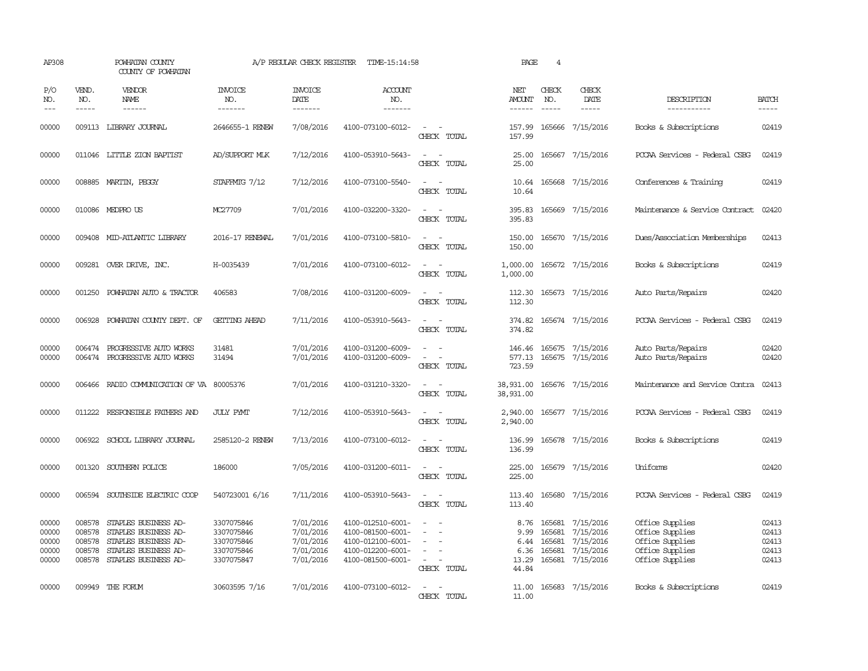| AP308                                     |                                                | POWHATAN COUNTY<br>COUNTY OF POWHATAN                                                                                |                                                                    | A/P REGULAR CHECK REGISTER                                    | TIME-15:14:58                                                                                         |                                                                                                                             | PAGE                                           | $\overline{4}$                       |                                                                      |                                                                                             |                                           |
|-------------------------------------------|------------------------------------------------|----------------------------------------------------------------------------------------------------------------------|--------------------------------------------------------------------|---------------------------------------------------------------|-------------------------------------------------------------------------------------------------------|-----------------------------------------------------------------------------------------------------------------------------|------------------------------------------------|--------------------------------------|----------------------------------------------------------------------|---------------------------------------------------------------------------------------------|-------------------------------------------|
| P/O<br>NO.<br>$- - -$                     | VEND.<br>NO.<br>$\frac{1}{2}$                  | VENDOR<br>NAME                                                                                                       | <b>INVOICE</b><br>NO.<br>--------                                  | <b>INVOICE</b><br>DATE<br>--------                            | <b>ACCOUNT</b><br>NO.<br>$- - - - - - -$                                                              |                                                                                                                             | NET<br><b>AMOUNT</b><br>------                 | CHECK<br>NO.<br>$\frac{1}{2}$        | CHECK<br>DATE<br>$\frac{1}{2}$                                       | DESCRIPTION<br>-----------                                                                  | <b>BATCH</b><br>$- - - - -$               |
| 00000                                     |                                                | 009113 LIBRARY JOURNAL                                                                                               | 2646655-1 RENEW                                                    | 7/08/2016                                                     | 4100-073100-6012-                                                                                     | $\frac{1}{2} \left( \frac{1}{2} \right) \left( \frac{1}{2} \right) = \frac{1}{2} \left( \frac{1}{2} \right)$<br>CHECK TOTAL | 157.99<br>157.99                               |                                      | 165666 7/15/2016                                                     | Books & Subscriptions                                                                       | 02419                                     |
| 00000                                     |                                                | 011046 LITTLE ZION BAPTIST                                                                                           | AD/SUPPORT MLK                                                     | 7/12/2016                                                     | 4100-053910-5643-                                                                                     | $\overline{\phantom{a}}$<br>CHECK TOTAL                                                                                     | 25.00<br>25.00                                 |                                      | 165667 7/15/2016                                                     | PCCAA Services - Federal CSBG                                                               | 02419                                     |
| 00000                                     |                                                | 008885 MARTIN, PEGGY                                                                                                 | STAFFMTG 7/12                                                      | 7/12/2016                                                     | 4100-073100-5540-                                                                                     | CHECK TOTAL                                                                                                                 | 10.64                                          |                                      | 10.64 165668 7/15/2016                                               | Conferences & Training                                                                      | 02419                                     |
| 00000                                     |                                                | 010086 MEDPRO US                                                                                                     | MC27709                                                            | 7/01/2016                                                     | 4100-032200-3320-                                                                                     | $\frac{1}{2} \left( \frac{1}{2} \right) \left( \frac{1}{2} \right) = \frac{1}{2} \left( \frac{1}{2} \right)$<br>CHECK TOTAL | 395.83                                         |                                      | 395.83 165669 7/15/2016                                              | Maintenance & Service Contract                                                              | 02420                                     |
| 00000                                     |                                                | 009408 MID-ATLANTIC LIBRARY                                                                                          | 2016-17 RENEWAL                                                    | 7/01/2016                                                     | 4100-073100-5810-                                                                                     | $\sim$<br>CHECK TOTAL                                                                                                       | 150.00<br>150.00                               |                                      | 165670 7/15/2016                                                     | Dues/Association Memberships                                                                | 02413                                     |
| 00000                                     |                                                | 009281 OVER DRIVE, INC.                                                                                              | H-0035439                                                          | 7/01/2016                                                     | 4100-073100-6012-                                                                                     | CHECK TOTAL                                                                                                                 | 1,000.00<br>1,000.00                           |                                      | 165672 7/15/2016                                                     | Books & Subscriptions                                                                       | 02419                                     |
| 00000                                     |                                                | 001250 POWHATAN AUTO & TRACTOR                                                                                       | 406583                                                             | 7/08/2016                                                     | 4100-031200-6009-                                                                                     | CHECK TOTAL                                                                                                                 | 112.30                                         |                                      | 112.30 165673 7/15/2016                                              | Auto Parts/Repairs                                                                          | 02420                                     |
| 00000                                     | 006928                                         | POWHATAN COUNTY DEPT. OF                                                                                             | GETTING AHEAD                                                      | 7/11/2016                                                     | 4100-053910-5643-                                                                                     | CHECK TOTAL                                                                                                                 | 374.82<br>374.82                               |                                      | 165674 7/15/2016                                                     | PCCAA Services - Federal CSBG                                                               | 02419                                     |
| 00000<br>00000                            | 006474<br>006474                               | PROGRESSIVE AUIO WORKS<br>PROGRESSIVE AUTO WORKS                                                                     | 31481<br>31494                                                     | 7/01/2016<br>7/01/2016                                        | 4100-031200-6009-<br>4100-031200-6009-                                                                | $\overline{\phantom{a}}$<br>CHECK TOTAL                                                                                     | 146.46<br>577.13<br>723.59                     |                                      | 165675 7/15/2016<br>165675 7/15/2016                                 | Auto Parts/Repairs<br>Auto Parts/Repairs                                                    | 02420<br>02420                            |
| 00000                                     |                                                | 006466 RADIO COMMUNICATION OF VA 80005376                                                                            |                                                                    | 7/01/2016                                                     | 4100-031210-3320-                                                                                     | CHECK TOTAL                                                                                                                 | 38,931.00<br>38,931.00                         |                                      | 165676 7/15/2016                                                     | Maintenance and Service Contra                                                              | 02413                                     |
| 00000                                     |                                                | 011222 RESPONSIBLE FAIHERS AND                                                                                       | <b>JULY PYMT</b>                                                   | 7/12/2016                                                     | 4100-053910-5643-                                                                                     | $\sim$ 10 $\sim$ 10 $\sim$<br>CHECK TOTAL                                                                                   | 2,940.00                                       |                                      | 2,940.00 165677 7/15/2016                                            | PCCAA Services - Federal CSBG                                                               | 02419                                     |
| 00000                                     | 006922                                         | SCHOOL LIBRARY JOURNAL                                                                                               | 2585120-2 RENEW                                                    | 7/13/2016                                                     | 4100-073100-6012-                                                                                     | $\sim$<br>$\sim$<br>CHECK TOTAL                                                                                             | 136.99<br>136.99                               |                                      | 165678 7/15/2016                                                     | Books & Subscriptions                                                                       | 02419                                     |
| 00000                                     |                                                | 001320 SOUTHERN POLICE                                                                                               | 186000                                                             | 7/05/2016                                                     | 4100-031200-6011-                                                                                     | $\sim$<br>CHECK TOTAL                                                                                                       | 225.00<br>225.00                               |                                      | 165679 7/15/2016                                                     | Uniforms                                                                                    | 02420                                     |
| 00000                                     |                                                | 006594 SOUTHSIDE ELECTRIC COOP                                                                                       | 540723001 6/16                                                     | 7/11/2016                                                     | 4100-053910-5643-                                                                                     | $ -$<br>CHECK TOTAL                                                                                                         | 113.40<br>113.40                               |                                      | 165680 7/15/2016                                                     | PCCAA Services - Federal CSBG                                                               | 02419                                     |
| 00000<br>00000<br>00000<br>00000<br>00000 | 008578<br>008578<br>008578<br>008578<br>008578 | STAPLES BUSINESS AD-<br>STAPLES BUSINESS AD-<br>STAPLES BUSINESS AD-<br>STAPLES BUSINESS AD-<br>STAPLES BUSINESS AD- | 3307075846<br>3307075846<br>3307075846<br>3307075846<br>3307075847 | 7/01/2016<br>7/01/2016<br>7/01/2016<br>7/01/2016<br>7/01/2016 | 4100-012510-6001-<br>4100-081500-6001-<br>4100-012100-6001-<br>4100-012200-6001-<br>4100-081500-6001- | $\sim$<br>CHECK TOTAL                                                                                                       | 8.76<br>9.99<br>6.44<br>6.36<br>13.29<br>44.84 | 165681<br>165681<br>165681<br>165681 | 7/15/2016<br>7/15/2016<br>7/15/2016<br>7/15/2016<br>165681 7/15/2016 | Office Supplies<br>Office Supplies<br>Office Supplies<br>Office Supplies<br>Office Supplies | 02413<br>02413<br>02413<br>02413<br>02413 |
| 00000                                     |                                                | 009949 THE FORUM                                                                                                     | 30603595 7/16                                                      | 7/01/2016                                                     | 4100-073100-6012-                                                                                     | CHECK TOTAL                                                                                                                 | 11.00<br>11.00                                 |                                      | 165683 7/15/2016                                                     | Books & Subscriptions                                                                       | 02419                                     |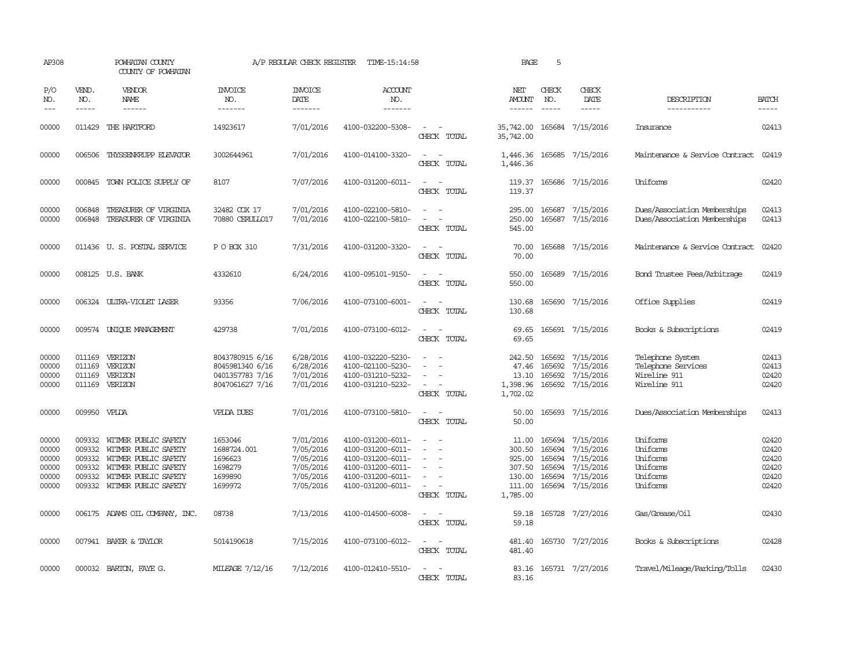| AP308                                              |                                                | POWHATAN COUNTY<br>COUNTY OF POWHATAN                                                                                                               |                                                                          | A/P REGULAR CHECK REGISTER                                                 | TIME-15:14:58                                                                                                              |                                                                                                                             | PAGE                                                                | 5                                              |                                                                                   |                                                                        |                                                    |
|----------------------------------------------------|------------------------------------------------|-----------------------------------------------------------------------------------------------------------------------------------------------------|--------------------------------------------------------------------------|----------------------------------------------------------------------------|----------------------------------------------------------------------------------------------------------------------------|-----------------------------------------------------------------------------------------------------------------------------|---------------------------------------------------------------------|------------------------------------------------|-----------------------------------------------------------------------------------|------------------------------------------------------------------------|----------------------------------------------------|
| P/O<br>NO.<br>$\frac{1}{2}$                        | VEND.<br>NO.<br>$- - - - -$                    | VENDOR<br>NAME<br>------                                                                                                                            | INVOICE<br>NO.<br>-------                                                | <b>INVOICE</b><br>DATE<br>-------                                          | <b>ACCOUNT</b><br>NO.<br>-------                                                                                           |                                                                                                                             | NET<br>AMOUNT<br>------                                             | CHECK<br>NO.<br>$\frac{1}{2}$                  | CHECK<br>DATE<br>$- - - - -$                                                      | DESCRIPTION<br>-----------                                             | <b>BATCH</b><br>$- - - - -$                        |
| 00000                                              | 011429                                         | THE HARTFORD                                                                                                                                        | 14923617                                                                 | 7/01/2016                                                                  | 4100-032200-5308-                                                                                                          | CHECK TOTAL                                                                                                                 | 35,742.00<br>35,742.00                                              |                                                | 165684 7/15/2016                                                                  | Insurance                                                              | 02413                                              |
| 00000                                              | 006506                                         | THYSSENKRUPP ELEVATOR                                                                                                                               | 3002644961                                                               | 7/01/2016                                                                  | 4100-014100-3320-                                                                                                          | $\overline{\phantom{a}}$<br>CHECK TOTAL                                                                                     | 1,446.36<br>1,446.36                                                |                                                | 165685 7/15/2016                                                                  | Maintenance & Service Contract                                         | 02419                                              |
| 00000                                              |                                                | 000845 TOWN POLICE SUPPLY OF                                                                                                                        | 8107                                                                     | 7/07/2016                                                                  | 4100-031200-6011-                                                                                                          | $\sim$<br>CHECK TOTAL                                                                                                       | 119.37<br>119.37                                                    |                                                | 165686 7/15/2016                                                                  | Uniforms                                                               | 02420                                              |
| 00000<br>00000                                     | 006848<br>006848                               | TREASURER OF VIRGINIA<br>TREASURER OF VIRGINIA                                                                                                      | 32482 COX 17<br>70880 CERULLO17                                          | 7/01/2016<br>7/01/2016                                                     | 4100-022100-5810-<br>4100-022100-5810-                                                                                     | $\overline{\phantom{a}}$<br>$\sim$<br>$\sim$<br>CHECK TOTAL                                                                 | 295.00<br>250.00<br>545.00                                          |                                                | 165687 7/15/2016<br>165687 7/15/2016                                              | Dues/Association Memberships<br>Dues/Association Memberships           | 02413<br>02413                                     |
| 00000                                              |                                                | 011436 U.S. POSTAL SERVICE                                                                                                                          | P O BOX 310                                                              | 7/31/2016                                                                  | 4100-031200-3320-                                                                                                          | $\equiv$<br>CHECK TOTAL                                                                                                     | 70.00<br>70.00                                                      |                                                | 165688 7/15/2016                                                                  | Maintenance & Service Contract                                         | 02420                                              |
| 00000                                              |                                                | 008125 U.S. BANK                                                                                                                                    | 4332610                                                                  | 6/24/2016                                                                  | 4100-095101-9150-                                                                                                          | $\equiv$<br>CHECK TOTAL                                                                                                     | 550.00<br>550.00                                                    |                                                | 165689 7/15/2016                                                                  | Bond Trustee Fees/Arbitrage                                            | 02419                                              |
| 00000                                              |                                                | 006324 ULIRA-VIOLET LASER                                                                                                                           | 93356                                                                    | 7/06/2016                                                                  | 4100-073100-6001-                                                                                                          | $\sim$<br>$\sim$<br>CHECK TOTAL                                                                                             | 130.68<br>130.68                                                    |                                                | 165690 7/15/2016                                                                  | Office Supplies                                                        | 02419                                              |
| 00000                                              |                                                | 009574 UNIOUE MANAGEMENT                                                                                                                            | 429738                                                                   | 7/01/2016                                                                  | 4100-073100-6012-                                                                                                          | $\sim$<br>$\overline{\phantom{a}}$<br>CHECK TOTAL                                                                           | 69.65<br>69.65                                                      |                                                | 165691 7/15/2016                                                                  | Books & Subscriptions                                                  | 02419                                              |
| 00000<br>00000<br>00000<br>00000                   | 011169<br>011169                               | 011169 VERIZON<br>VERIZON<br>VERIZON<br>011169 VERIZON                                                                                              | 8043780915 6/16<br>8045981340 6/16<br>0401357783 7/16<br>8047061627 7/16 | 6/28/2016<br>6/28/2016<br>7/01/2016<br>7/01/2016                           | 4100-032220-5230-<br>4100-021100-5230-<br>4100-031210-5232-<br>4100-031210-5232-                                           | $\equiv$<br>CHECK TOTAL                                                                                                     | 242.50<br>47.46<br>13.10<br>1,398.96<br>1,702.02                    | 165692                                         | 165692 7/15/2016<br>7/15/2016<br>165692 7/15/2016<br>165692 7/15/2016             | Telephone System<br>Telephone Services<br>Wireline 911<br>Wireline 911 | 02413<br>02413<br>02420<br>02420                   |
| 00000                                              | 009950 VPLDA                                   |                                                                                                                                                     | <b>VPLDA DUES</b>                                                        | 7/01/2016                                                                  | 4100-073100-5810-                                                                                                          | $\sim$ 100 $\mu$<br>CHECK TOTAL                                                                                             | 50.00<br>50.00                                                      |                                                | 165693 7/15/2016                                                                  | Dues/Association Memberships                                           | 02413                                              |
| 00000<br>00000<br>00000<br>00000<br>00000<br>00000 | 009332<br>009332<br>009332<br>009332<br>009332 | WITMER PUBLIC SAFETY<br>WITMER PUBLIC SAFETY<br>WITMER PUBLIC SAFETY<br>WITMER PUBLIC SAFETY<br>WITMER PUBLIC SAFETY<br>009332 WITMER PUBLIC SAFETY | 1653046<br>1688724.001<br>1696623<br>1698279<br>1699890<br>1699972       | 7/01/2016<br>7/05/2016<br>7/05/2016<br>7/05/2016<br>7/05/2016<br>7/05/2016 | 4100-031200-6011-<br>4100-031200-6011-<br>4100-031200-6011-<br>4100-031200-6011-<br>4100-031200-6011-<br>4100-031200-6011- | $\sim$<br>$\equiv$<br>$\sim$<br>$\equiv$<br>CHECK TOTAL                                                                     | 11.00<br>300.50<br>925.00<br>307.50<br>130.00<br>111.00<br>1,785.00 | 165694<br>165694<br>165694<br>165694<br>165694 | 7/15/2016<br>7/15/2016<br>7/15/2016<br>7/15/2016<br>7/15/2016<br>165694 7/15/2016 | Uniforms<br>Uniforms<br>Uniforms<br>Uniforms<br>Uniforms<br>Uniforms   | 02420<br>02420<br>02420<br>02420<br>02420<br>02420 |
| 00000                                              |                                                | 006175 ADAMS OIL COMPANY, INC.                                                                                                                      | 08738                                                                    | 7/13/2016                                                                  | 4100-014500-6008-                                                                                                          | $\overline{\phantom{a}}$<br>CHECK TOTAL                                                                                     | 59.18<br>59.18                                                      |                                                | 165728 7/27/2016                                                                  | Gas/Grease/Oil                                                         | 02430                                              |
| 00000                                              |                                                | 007941 BAKER & TAYLOR                                                                                                                               | 5014190618                                                               | 7/15/2016                                                                  | 4100-073100-6012-                                                                                                          | $\frac{1}{2} \left( \frac{1}{2} \right) \left( \frac{1}{2} \right) = \frac{1}{2} \left( \frac{1}{2} \right)$<br>CHECK TOTAL | 481.40<br>481.40                                                    |                                                | 165730 7/27/2016                                                                  | Books & Subscriptions                                                  | 02428                                              |
| 00000                                              |                                                | 000032 BARTON, FAYE G.                                                                                                                              | MILEAGE 7/12/16                                                          | 7/12/2016                                                                  | 4100-012410-5510-                                                                                                          | CHECK TOTAL                                                                                                                 | 83.16                                                               |                                                | 83.16 165731 7/27/2016                                                            | Travel/Mileage/Parking/Tolls                                           | 02430                                              |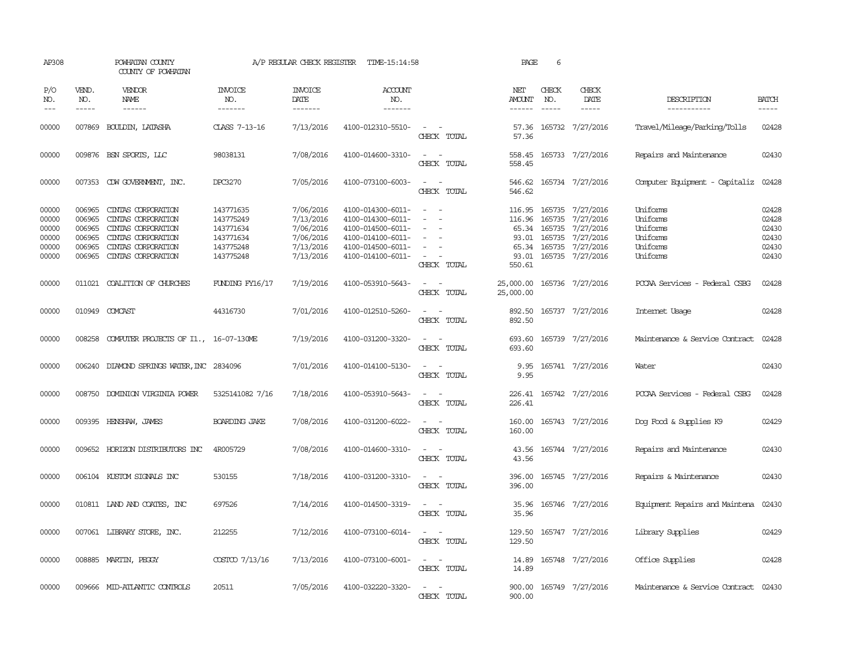| AP308                                              |                                                | POWHATAN COUNTY<br>COUNTY OF POWHATAN                                                                                                   |                                                                            | A/P REGULAR CHECK REGISTER                                                 | TIME-15:14:58                                                                                                              |                                                                                                                             | PAGE                    | 6                             |                                                                                                                                              |                                                                      |                                                    |
|----------------------------------------------------|------------------------------------------------|-----------------------------------------------------------------------------------------------------------------------------------------|----------------------------------------------------------------------------|----------------------------------------------------------------------------|----------------------------------------------------------------------------------------------------------------------------|-----------------------------------------------------------------------------------------------------------------------------|-------------------------|-------------------------------|----------------------------------------------------------------------------------------------------------------------------------------------|----------------------------------------------------------------------|----------------------------------------------------|
| P/O<br>NO.<br>$\qquad \qquad - -$                  | VEND.<br>NO.<br>-----                          | <b>VENDOR</b><br>NAME<br>------                                                                                                         | <b>INVOICE</b><br>NO.<br>-------                                           | <b>INVOICE</b><br>DATE<br>--------                                         | <b>ACCOUNT</b><br>NO.<br>-------                                                                                           |                                                                                                                             | NET<br>AMOUNT<br>------ | CHECK<br>NO.<br>$\frac{1}{2}$ | CHECK<br>DATE                                                                                                                                | DESCRIPTION<br>-----------                                           | <b>BATCH</b>                                       |
| 00000                                              |                                                | 007869 BOULDIN, LATASHA                                                                                                                 | CLASS 7-13-16                                                              | 7/13/2016                                                                  | 4100-012310-5510-                                                                                                          | $\sim$<br>CHECK TOTAL                                                                                                       | 57.36<br>57.36          |                               | 165732 7/27/2016                                                                                                                             | Travel/Mileage/Parking/Tolls                                         | 02428                                              |
| 00000                                              |                                                | 009876 BSN SPORTS, LLC                                                                                                                  | 98038131                                                                   | 7/08/2016                                                                  | 4100-014600-3310-                                                                                                          | $\sim$<br>CHECK TOTAL                                                                                                       | 558.45                  |                               | 558.45 165733 7/27/2016                                                                                                                      | Repairs and Maintenance                                              | 02430                                              |
| 00000                                              |                                                | 007353 CDW GOVERNMENT, INC.                                                                                                             | DPC3270                                                                    | 7/05/2016                                                                  | 4100-073100-6003-                                                                                                          | $\sim$ $\sim$<br>CHECK TOTAL                                                                                                | 546.62                  |                               | 546.62 165734 7/27/2016                                                                                                                      | Computer Equipment - Capitaliz                                       | 02428                                              |
| 00000<br>00000<br>00000<br>00000<br>00000<br>00000 | 006965<br>006965<br>006965<br>006965<br>006965 | CINIAS CORPORATION<br>CINIAS CORPORATION<br>CINTAS CORPORATION<br>CINIAS CORPORATION<br>CINIAS CORPORATION<br>006965 CINTAS CORPORATION | 143771635<br>143775249<br>143771634<br>143771634<br>143775248<br>143775248 | 7/06/2016<br>7/13/2016<br>7/06/2016<br>7/06/2016<br>7/13/2016<br>7/13/2016 | 4100-014300-6011-<br>4100-014300-6011-<br>4100-014500-6011-<br>4100-014100-6011-<br>4100-014500-6011-<br>4100-014100-6011- | $\sim$<br>$\overline{\phantom{a}}$<br>$\sim$<br>CHECK TOTAL                                                                 | 116.96<br>550.61        | 165735                        | 116.95 165735 7/27/2016<br>7/27/2016<br>65.34 165735 7/27/2016<br>93.01 165735 7/27/2016<br>65.34 165735 7/27/2016<br>93.01 165735 7/27/2016 | Uniforms<br>Uniforms<br>Uniforms<br>Uniforms<br>Uniforms<br>Uniforms | 02428<br>02428<br>02430<br>02430<br>02430<br>02430 |
| 00000                                              |                                                | 011021 COALITION OF CHURCHES                                                                                                            | <b>FUNDING FY16/17</b>                                                     | 7/19/2016                                                                  | 4100-053910-5643-                                                                                                          | $\frac{1}{2} \left( \frac{1}{2} \right) \left( \frac{1}{2} \right) = \frac{1}{2} \left( \frac{1}{2} \right)$<br>CHECK TOTAL | 25,000.00<br>25,000.00  |                               | 165736 7/27/2016                                                                                                                             | PCCAA Services - Federal CSBG                                        | 02428                                              |
| 00000                                              |                                                | 010949 COMCAST                                                                                                                          | 44316730                                                                   | 7/01/2016                                                                  | 4100-012510-5260-                                                                                                          | $ -$<br>CHECK TOTAL                                                                                                         | 892.50                  |                               | 892.50 165737 7/27/2016                                                                                                                      | Internet Usage                                                       | 02428                                              |
| 00000                                              | 008258                                         | COMPUTER PROJECTS OF I1., 16-07-130ME                                                                                                   |                                                                            | 7/19/2016                                                                  | 4100-031200-3320-                                                                                                          | $\sim$<br>$\sim$<br>CHECK TOTAL                                                                                             | 693.60<br>693.60        |                               | 165739 7/27/2016                                                                                                                             | Maintenance & Service Contract                                       | 02428                                              |
| 00000                                              |                                                | 006240 DIAMOND SPRINGS WATER, INC 2834096                                                                                               |                                                                            | 7/01/2016                                                                  | 4100-014100-5130-                                                                                                          | $\equiv$<br>CHECK TOTAL                                                                                                     | 9.95<br>9.95            |                               | 165741 7/27/2016                                                                                                                             | Water                                                                | 02430                                              |
| 00000                                              |                                                | 008750 DOMINION VIRGINIA POWER                                                                                                          | 5325141082 7/16                                                            | 7/18/2016                                                                  | 4100-053910-5643-                                                                                                          | CHECK TOTAL                                                                                                                 | 226.41                  |                               | 226.41 165742 7/27/2016                                                                                                                      | PCCAA Services - Federal CSBG                                        | 02428                                              |
| 00000                                              |                                                | 009395 HENSHAW, JAMES                                                                                                                   | BOARDING JAKE                                                              | 7/08/2016                                                                  | 4100-031200-6022-                                                                                                          | $\frac{1}{2} \left( \frac{1}{2} \right) \left( \frac{1}{2} \right) = \frac{1}{2} \left( \frac{1}{2} \right)$<br>CHECK TOTAL | 160.00<br>160.00        |                               | 165743 7/27/2016                                                                                                                             | Dog Food & Supplies K9                                               | 02429                                              |
| 00000                                              | 009652                                         | HORIZON DISTRIBUTORS INC                                                                                                                | 4R005729                                                                   | 7/08/2016                                                                  | 4100-014600-3310-                                                                                                          | $\frac{1}{2} \left( \frac{1}{2} \right) \left( \frac{1}{2} \right) = \frac{1}{2} \left( \frac{1}{2} \right)$<br>CHECK TOTAL | 43.56<br>43.56          |                               | 165744 7/27/2016                                                                                                                             | Repairs and Maintenance                                              | 02430                                              |
| 00000                                              |                                                | 006104 KUSTOM SIGNALS INC                                                                                                               | 530155                                                                     | 7/18/2016                                                                  | 4100-031200-3310-                                                                                                          | CHECK TOTAL                                                                                                                 | 396.00<br>396.00        |                               | 165745 7/27/2016                                                                                                                             | Repairs & Maintenance                                                | 02430                                              |
| 00000                                              |                                                | 010811 IAND AND COATES, INC                                                                                                             | 697526                                                                     | 7/14/2016                                                                  | 4100-014500-3319-                                                                                                          | $\sim$<br>CHECK TOTAL                                                                                                       | 35.96<br>35.96          |                               | 165746 7/27/2016                                                                                                                             | Equipment Repairs and Maintena                                       | 02430                                              |
| 00000                                              |                                                | 007061 LIBRARY STORE, INC.                                                                                                              | 212255                                                                     | 7/12/2016                                                                  | 4100-073100-6014-                                                                                                          | CHECK TOTAL                                                                                                                 | 129.50                  |                               | 129.50 165747 7/27/2016                                                                                                                      | Library Supplies                                                     | 02429                                              |
| 00000                                              |                                                | 008885 MARTIN, PEGGY                                                                                                                    | COSTCO 7/13/16                                                             | 7/13/2016                                                                  | 4100-073100-6001-                                                                                                          | $\overline{\phantom{a}}$<br>$\sim$<br>CHECK TOTAL                                                                           | 14.89<br>14.89          |                               | 165748 7/27/2016                                                                                                                             | Office Supplies                                                      | 02428                                              |
| 00000                                              |                                                | 009666 MID-ATLANTIC CONTROLS                                                                                                            | 20511                                                                      | 7/05/2016                                                                  | 4100-032220-3320-                                                                                                          | $\equiv$<br>CHECK TOTAL                                                                                                     | 900.00                  |                               | 900.00 165749 7/27/2016                                                                                                                      | Maintenance & Service Contract                                       | 02430                                              |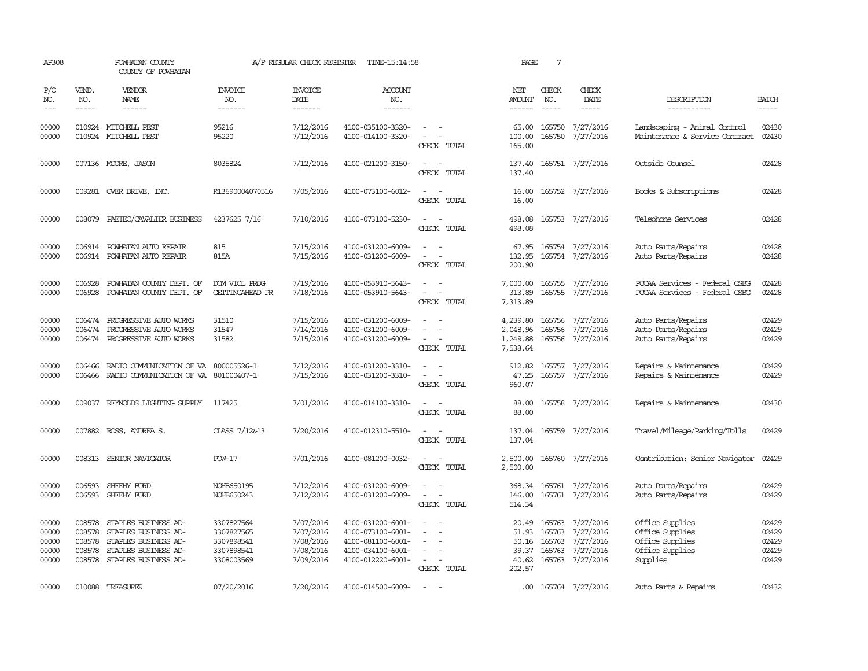| AP308                                     |                                                | POWHATAN COUNTY<br>COUNTY OF POWHATAN                                                                                |                                                                    | A/P REGULAR CHECK REGISTER                                    | TIME-15:14:58                                                                                         |                                                                                                                             | PAGE                                         | $7\phantom{.0}$             |                                                                                    |                                                                                      |                                           |
|-------------------------------------------|------------------------------------------------|----------------------------------------------------------------------------------------------------------------------|--------------------------------------------------------------------|---------------------------------------------------------------|-------------------------------------------------------------------------------------------------------|-----------------------------------------------------------------------------------------------------------------------------|----------------------------------------------|-----------------------------|------------------------------------------------------------------------------------|--------------------------------------------------------------------------------------|-------------------------------------------|
| P/O<br>NO.<br>$---$                       | VEND.<br>NO.<br>$- - - - -$                    | VENDOR<br>NAME<br>$- - - - - -$                                                                                      | <b>INVOICE</b><br>NO.<br>-------                                   | <b>INVOICE</b><br>DATE<br>-------                             | ACCOUNT<br>NO.<br>-------                                                                             |                                                                                                                             | NET<br><b>AMOUNT</b><br>------               | CHECK<br>NO.<br>$- - - - -$ | CHECK<br>DATE<br>$- - - - -$                                                       | DESCRIPTION<br>-----------                                                           | <b>BATCH</b><br>-----                     |
| 00000<br>00000                            |                                                | 010924 MITCHELL PEST<br>010924 MITCHELL PEST                                                                         | 95216<br>95220                                                     | 7/12/2016<br>7/12/2016                                        | 4100-035100-3320-<br>4100-014100-3320-                                                                | $\sim$ $ \sim$<br>$\overline{\phantom{a}}$<br>CHECK TOTAL                                                                   | 65.00<br>100.00<br>165.00                    | 165750                      | 165750 7/27/2016<br>7/27/2016                                                      | Landscaping - Animal Control<br>Maintenance & Service Contract                       | 02430<br>02430                            |
| 00000                                     |                                                | 007136 MOORE, JASON                                                                                                  | 8035824                                                            | 7/12/2016                                                     | 4100-021200-3150-                                                                                     | $\overline{\phantom{a}}$<br>CHECK TOTAL                                                                                     | 137.40<br>137.40                             |                             | 165751 7/27/2016                                                                   | Outside Counsel                                                                      | 02428                                     |
| 00000                                     |                                                | 009281 OVER DRIVE, INC.                                                                                              | R13690004070516                                                    | 7/05/2016                                                     | 4100-073100-6012-                                                                                     | $\sim$<br>CHECK TOTAL                                                                                                       | 16.00<br>16.00                               |                             | 165752 7/27/2016                                                                   | Books & Subscriptions                                                                | 02428                                     |
| 00000                                     | 008079                                         | PAETEC/CAVALIER BUSINESS                                                                                             | 4237625 7/16                                                       | 7/10/2016                                                     | 4100-073100-5230-                                                                                     | $\frac{1}{2} \left( \frac{1}{2} \right) \left( \frac{1}{2} \right) = \frac{1}{2} \left( \frac{1}{2} \right)$<br>CHECK TOTAL | 498.08<br>498.08                             |                             | 165753 7/27/2016                                                                   | Telephone Services                                                                   | 02428                                     |
| 00000<br>00000                            | 006914                                         | POWHATAN AUTO REPAIR<br>006914 POWHATAN AUTO REPAIR                                                                  | 815<br>815A                                                        | 7/15/2016<br>7/15/2016                                        | 4100-031200-6009-<br>4100-031200-6009-                                                                | $\sim$<br>CHECK TOTAL                                                                                                       | 67.95<br>132.95<br>200.90                    |                             | 165754 7/27/2016<br>165754 7/27/2016                                               | Auto Parts/Repairs<br>Auto Parts/Repairs                                             | 02428<br>02428                            |
| 00000<br>00000                            | 006928<br>006928                               | POWHATAN COUNTY DEPT. OF<br>POWHATAN COUNTY DEPT. OF                                                                 | DOM VIOL PROG<br>GETTINGAHEAD PR                                   | 7/19/2016<br>7/18/2016                                        | 4100-053910-5643-<br>4100-053910-5643-                                                                | $\equiv$<br>$\equiv$<br>CHECK TOTAL                                                                                         | 7,000.00<br>313.89<br>7,313.89               |                             | 165755 7/27/2016<br>165755 7/27/2016                                               | PCCAA Services - Federal CSBG<br>PCCAA Services - Federal CSBG                       | 02428<br>02428                            |
| 00000<br>00000<br>00000                   | 006474<br>006474                               | PROGRESSIVE AUTO WORKS<br>PROGRESSIVE AUTO WORKS<br>006474 PROGRESSIVE AUTO WORKS                                    | 31510<br>31547<br>31582                                            | 7/15/2016<br>7/14/2016<br>7/15/2016                           | 4100-031200-6009-<br>4100-031200-6009-<br>4100-031200-6009-                                           | $\equiv$<br>CHECK TOTAL                                                                                                     | 4,239.80<br>2,048.96<br>1,249.88<br>7,538.64 | 165756<br>165756            | 7/27/2016<br>7/27/2016<br>165756 7/27/2016                                         | Auto Parts/Repairs<br>Auto Parts/Repairs<br>Auto Parts/Repairs                       | 02429<br>02429<br>02429                   |
| 00000<br>00000                            | 006466<br>006466                               | RADIO COMMUNICATION OF VA<br>RADIO COMMUNICATION OF VA 801000407-1                                                   | 800005526-1                                                        | 7/12/2016<br>7/15/2016                                        | 4100-031200-3310-<br>4100-031200-3310-                                                                | $\equiv$<br>CHECK TOTAL                                                                                                     | 912.82<br>47.25<br>960.07                    |                             | 165757 7/27/2016<br>165757 7/27/2016                                               | Repairs & Maintenance<br>Repairs & Maintenance                                       | 02429<br>02429                            |
| 00000                                     | 009037                                         | REYNOLDS LIGHTING SUPPLY                                                                                             | 117425                                                             | 7/01/2016                                                     | 4100-014100-3310-                                                                                     | CHECK TOTAL                                                                                                                 | 88.00<br>88,00                               |                             | 165758 7/27/2016                                                                   | Repairs & Maintenance                                                                | 02430                                     |
| 00000                                     |                                                | 007882 ROSS, ANDREA S.                                                                                               | CLASS 7/12&13                                                      | 7/20/2016                                                     | 4100-012310-5510-                                                                                     | $\sim$<br>CHECK TOTAL                                                                                                       | 137.04<br>137.04                             |                             | 165759 7/27/2016                                                                   | Travel/Mileage/Parking/Tolls                                                         | 02429                                     |
| 00000                                     |                                                | 008313 SENIOR NAVIGATOR                                                                                              | <b>POW-17</b>                                                      | 7/01/2016                                                     | 4100-081200-0032-                                                                                     | $\sim$<br>CHECK TOTAL                                                                                                       | 2,500.00<br>2,500.00                         |                             | 165760 7/27/2016                                                                   | Contribution: Senior Navigator                                                       | 02429                                     |
| 00000<br>00000                            | 006593                                         | SHEEHY FORD<br>006593 SHEEHY FORD                                                                                    | NOHB650195<br>NOHB650243                                           | 7/12/2016<br>7/12/2016                                        | 4100-031200-6009-<br>4100-031200-6009-                                                                | $\equiv$<br>$\overline{\phantom{a}}$<br>CHECK TOTAL                                                                         | 368.34<br>146.00<br>514.34                   |                             | 165761 7/27/2016<br>165761 7/27/2016                                               | Auto Parts/Repairs<br>Auto Parts/Repairs                                             | 02429<br>02429                            |
| 00000<br>00000<br>00000<br>00000<br>00000 | 008578<br>008578<br>008578<br>008578<br>008578 | STAPLES BUSINESS AD-<br>STAPLES BUSINESS AD-<br>STAPLES BUSINESS AD-<br>STAPLES BUSINESS AD-<br>STAPLES BUSINESS AD- | 3307827564<br>3307827565<br>3307898541<br>3307898541<br>3308003569 | 7/07/2016<br>7/07/2016<br>7/08/2016<br>7/08/2016<br>7/09/2016 | 4100-031200-6001-<br>4100-073100-6001-<br>4100-081100-6001-<br>4100-034100-6001-<br>4100-012220-6001- | $\overline{\phantom{a}}$<br>$\sim$<br>$\equiv$<br>CHECK TOTAL                                                               | 20.49<br>51.93<br>39.37<br>40.62<br>202.57   | 165763<br>50.16 165763      | 165763 7/27/2016<br>7/27/2016<br>7/27/2016<br>165763 7/27/2016<br>165763 7/27/2016 | Office Supplies<br>Office Supplies<br>Office Supplies<br>Office Supplies<br>Supplies | 02429<br>02429<br>02429<br>02429<br>02429 |
| 00000                                     |                                                | 010088 TREASURER                                                                                                     | 07/20/2016                                                         | 7/20/2016                                                     | 4100-014500-6009-                                                                                     | $\overline{\phantom{a}}$                                                                                                    |                                              |                             | .00 165764 7/27/2016                                                               | Auto Parts & Repairs                                                                 | 02432                                     |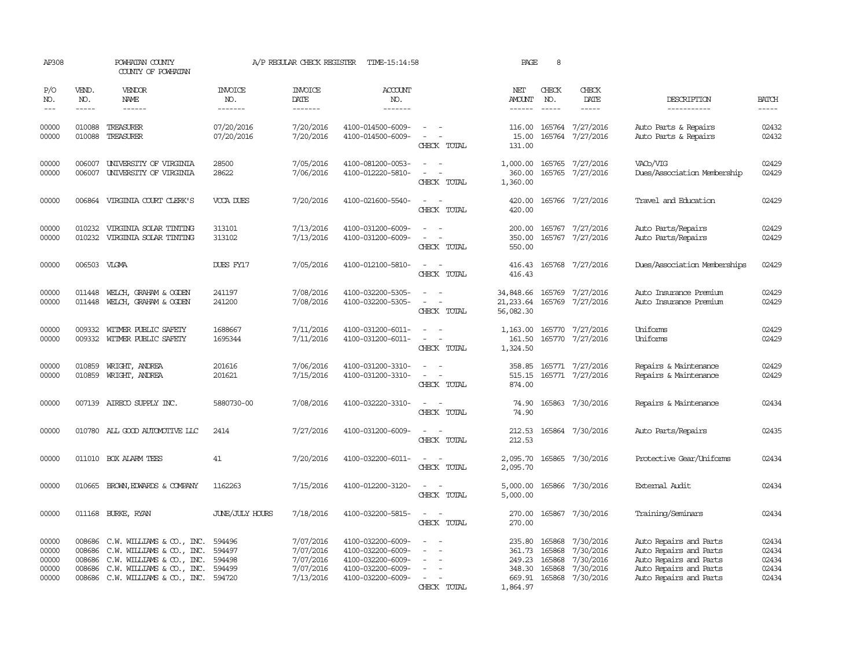| AP308                                     |                               | POWHATAN COUNTY<br>COUNTY OF POWHATAN                                                                                                                       |                                                | A/P REGULAR CHECK REGISTER                                    | TIME-15:14:58                                                                                         |                                                                         | PAGE                                                       | 8                                    |                                                                      |                                                                                                                                |                                           |
|-------------------------------------------|-------------------------------|-------------------------------------------------------------------------------------------------------------------------------------------------------------|------------------------------------------------|---------------------------------------------------------------|-------------------------------------------------------------------------------------------------------|-------------------------------------------------------------------------|------------------------------------------------------------|--------------------------------------|----------------------------------------------------------------------|--------------------------------------------------------------------------------------------------------------------------------|-------------------------------------------|
| P/O<br>NO.<br>$---$                       | VEND.<br>NO.<br>$\frac{1}{2}$ | VENDOR<br>NAME<br>$- - - - - -$                                                                                                                             | <b>INVOICE</b><br>NO.<br>--------              | <b>INVOICE</b><br>DATE<br>--------                            | <b>ACCOUNT</b><br>NO.<br>--------                                                                     |                                                                         | NET<br>AMOUNT<br>$- - - - - -$                             | CHECK<br>NO.<br>$\frac{1}{2}$        | CHECK<br>DATE<br>$\frac{1}{2}$                                       | DESCRIPTION<br>-----------                                                                                                     | <b>BATCH</b><br>$- - - - -$               |
| 00000<br>00000                            | 010088<br>010088              | TREASURER<br>TREASURER                                                                                                                                      | 07/20/2016<br>07/20/2016                       | 7/20/2016<br>7/20/2016                                        | 4100-014500-6009-<br>4100-014500-6009-                                                                | $\sim$<br>$\overline{\phantom{a}}$<br>CHECK TOTAL                       | 116.00<br>15.00<br>131.00                                  |                                      | 165764 7/27/2016<br>165764 7/27/2016                                 | Auto Parts & Repairs<br>Auto Parts & Repairs                                                                                   | 02432<br>02432                            |
| 00000<br>00000                            | 006007                        | UNIVERSITY OF VIRGINIA<br>006007 UNIVERSITY OF VIRGINIA                                                                                                     | 28500<br>28622                                 | 7/05/2016<br>7/06/2016                                        | 4100-081200-0053-<br>4100-012220-5810-                                                                | CHECK TOTAL                                                             | 1,000.00<br>360.00<br>1,360.00                             |                                      | 165765 7/27/2016<br>165765 7/27/2016                                 | VACo/VIG<br>Dues/Association Membership                                                                                        | 02429<br>02429                            |
| 00000                                     |                               | 006864 VIRGINIA COURT CLERK'S                                                                                                                               | VCCA DUES                                      | 7/20/2016                                                     | 4100-021600-5540-                                                                                     | $\sim$<br>CHECK TOTAL                                                   | 420.00<br>420.00                                           |                                      | 165766 7/27/2016                                                     | Travel and Education                                                                                                           | 02429                                     |
| 00000<br>00000                            | 010232<br>010232              | VIRGINIA SOLAR TINITNG<br>VIRGINIA SOLAR TINITING                                                                                                           | 313101<br>313102                               | 7/13/2016<br>7/13/2016                                        | 4100-031200-6009-<br>4100-031200-6009-                                                                | $\sim$<br>$\sim$<br>$\equiv$<br>$\overline{\phantom{a}}$<br>CHECK TOTAL | 200.00<br>350.00<br>550.00                                 |                                      | 165767 7/27/2016<br>165767 7/27/2016                                 | Auto Parts/Repairs<br>Auto Parts/Repairs                                                                                       | 02429<br>02429                            |
| 00000                                     | 006503 VLGMA                  |                                                                                                                                                             | DUES FY17                                      | 7/05/2016                                                     | 4100-012100-5810-                                                                                     | $\sim$<br>$\sim$<br>CHECK TOTAL                                         | 416.43<br>416.43                                           |                                      | 165768 7/27/2016                                                     | Dues/Association Memberships                                                                                                   | 02429                                     |
| 00000<br>00000                            | 011448<br>011448              | WELCH, GRAHAM & OGDEN<br>WELCH, GRAHAM & OGDEN                                                                                                              | 241197<br>241200                               | 7/08/2016<br>7/08/2016                                        | 4100-032200-5305-<br>4100-032200-5305-                                                                | $\overline{\phantom{a}}$<br>$\overline{\phantom{a}}$<br>CHECK TOTAL     | 34,848.66<br>21, 233.64<br>56,082.30                       | 165769                               | 7/27/2016<br>165769 7/27/2016                                        | Auto Insurance Premium<br>Auto Insurance Premium                                                                               | 02429<br>02429                            |
| 00000<br>00000                            | 009332                        | WITMER PUBLIC SAFETY<br>009332 WITMER PUBLIC SAFETY                                                                                                         | 1688667<br>1695344                             | 7/11/2016<br>7/11/2016                                        | 4100-031200-6011-<br>4100-031200-6011-                                                                | $\overline{\phantom{a}}$<br>$\overline{\phantom{a}}$<br>CHECK TOTAL     | 1,163.00<br>161.50<br>1,324.50                             |                                      | 165770 7/27/2016<br>165770 7/27/2016                                 | Uniforms<br>Uniforms                                                                                                           | 02429<br>02429                            |
| 00000<br>00000                            | 010859<br>010859              | WRIGHT, ANDREA<br>WRIGHT, ANDREA                                                                                                                            | 201616<br>201621                               | 7/06/2016<br>7/15/2016                                        | 4100-031200-3310-<br>4100-031200-3310-                                                                | CHECK TOTAL                                                             | 358.85<br>515.15<br>874.00                                 |                                      | 165771 7/27/2016<br>165771 7/27/2016                                 | Repairs & Maintenance<br>Repairs & Maintenance                                                                                 | 02429<br>02429                            |
| 00000                                     |                               | 007139 AIRECO SUPPLY INC.                                                                                                                                   | 5880730-00                                     | 7/08/2016                                                     | 4100-032220-3310-                                                                                     | $\overline{\phantom{a}}$<br>CHECK TOTAL                                 | 74.90<br>74.90                                             |                                      | 165863 7/30/2016                                                     | Repairs & Maintenance                                                                                                          | 02434                                     |
| 00000                                     |                               | 010780 ALL GOOD AUTOMOTTVE LLC                                                                                                                              | 2414                                           | 7/27/2016                                                     | 4100-031200-6009-                                                                                     | CHECK TOTAL                                                             | 212.53<br>212.53                                           |                                      | 165864 7/30/2016                                                     | Auto Parts/Repairs                                                                                                             | 02435                                     |
| 00000                                     |                               | 011010 BOX ALARM TEES                                                                                                                                       | 41                                             | 7/20/2016                                                     | 4100-032200-6011-                                                                                     | $\sim$<br>CHECK TOTAL                                                   | 2,095.70<br>2,095.70                                       |                                      | 165865 7/30/2016                                                     | Protective Gear/Uniforms                                                                                                       | 02434                                     |
| 00000                                     | 010665                        | BROWN, EDWARDS & COMPANY                                                                                                                                    | 1162263                                        | 7/15/2016                                                     | 4100-012200-3120-                                                                                     | $\overline{\phantom{a}}$<br>$\overline{\phantom{a}}$<br>CHECK TOTAL     | 5,000.00<br>5,000.00                                       |                                      | 165866 7/30/2016                                                     | External Audit                                                                                                                 | 02434                                     |
| 00000                                     |                               | 011168 BURKE, RYAN                                                                                                                                          | <b>JUNE/JULY HOURS</b>                         | 7/18/2016                                                     | 4100-032200-5815-                                                                                     | $\sim$ $ \sim$<br>CHECK TOTAL                                           | 270.00<br>270.00                                           |                                      | 165867 7/30/2016                                                     | Training/Seminars                                                                                                              | 02434                                     |
| 00000<br>00000<br>00000<br>00000<br>00000 | 008686<br>008686<br>008686    | 008686 C.W. WILLIAMS & CO., INC.<br>C.W. WILLIAMS & CO., INC.<br>C.W. WILLIAMS & CO., INC.<br>C.W. WILLIAMS & CO., INC.<br>008686 C.W. WILLIAMS & CO., INC. | 594496<br>594497<br>594498<br>594499<br>594720 | 7/07/2016<br>7/07/2016<br>7/07/2016<br>7/07/2016<br>7/13/2016 | 4100-032200-6009-<br>4100-032200-6009-<br>4100-032200-6009-<br>4100-032200-6009-<br>4100-032200-6009- | $\equiv$<br>$\sim$<br>CHECK TOTAL                                       | 235.80<br>361.73<br>249.23<br>348.30<br>669.91<br>1,864.97 | 165868<br>165868<br>165868<br>165868 | 7/30/2016<br>7/30/2016<br>7/30/2016<br>7/30/2016<br>165868 7/30/2016 | Auto Repairs and Parts<br>Auto Repairs and Parts<br>Auto Repairs and Parts<br>Auto Repairs and Parts<br>Auto Repairs and Parts | 02434<br>02434<br>02434<br>02434<br>02434 |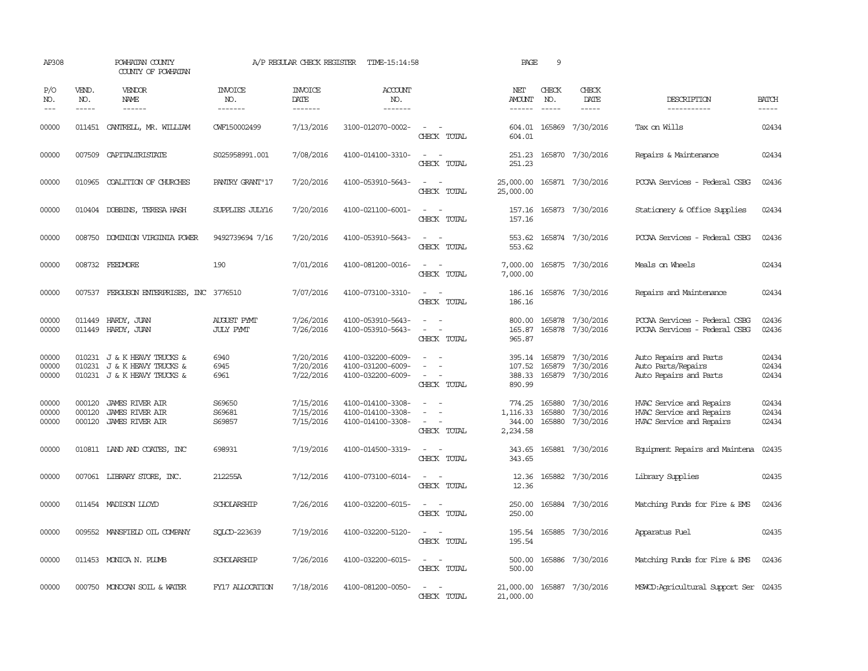| AP308                   |                             | POWHATAN COUNTY<br>COUNTY OF POWHATAN                                                     |                                  | A/P REGULAR CHECK REGISTER          | TIME-15:14:58                                               |                                                                                                                             | PAGE                                     | 9                          |                                                   |                                                                                  |                         |
|-------------------------|-----------------------------|-------------------------------------------------------------------------------------------|----------------------------------|-------------------------------------|-------------------------------------------------------------|-----------------------------------------------------------------------------------------------------------------------------|------------------------------------------|----------------------------|---------------------------------------------------|----------------------------------------------------------------------------------|-------------------------|
| P/O<br>NO.<br>$---$     | VEND.<br>NO.<br>$- - - - -$ | <b>VENDOR</b><br>NAME<br>$- - - - - -$                                                    | <b>INVOICE</b><br>NO.<br>------- | <b>INVOICE</b><br>DATE<br>-------   | <b>ACCOUNT</b><br>NO.<br>-------                            |                                                                                                                             | NET<br><b>AMOUNT</b><br>------           | CHECK<br>NO.               | CHECK<br>DATE<br>$- - - - -$                      | DESCRIPTION<br>-----------                                                       | <b>BATCH</b><br>-----   |
| 00000                   |                             | 011451 CANIRELL, MR. WILLIAM                                                              | CWF150002499                     | 7/13/2016                           | 3100-012070-0002-                                           | $ -$<br>CHECK TOTAL                                                                                                         | 604.01                                   |                            | 604.01 165869 7/30/2016                           | Tax on Wills                                                                     | 02434                   |
| 00000                   |                             | 007509 CAPITALIRISTATE                                                                    | S025958991.001                   | 7/08/2016                           | 4100-014100-3310-                                           | $\frac{1}{2} \left( \frac{1}{2} \right) \left( \frac{1}{2} \right) = \frac{1}{2} \left( \frac{1}{2} \right)$<br>CHECK TOTAL | 251.23<br>251.23                         |                            | 165870 7/30/2016                                  | Repairs & Maintenance                                                            | 02434                   |
| 00000                   |                             | 010965 COALITION OF CHURCHES                                                              | PANIRY GRANT' 17                 | 7/20/2016                           | 4100-053910-5643-                                           | $\sim$ 100 $\sim$<br>CHECK TOTAL                                                                                            | 25,000.00<br>25,000.00                   |                            | 165871 7/30/2016                                  | PCCAA Services - Federal CSBG                                                    | 02436                   |
| 00000                   |                             | 010404 DOBBINS, TERESA HASH                                                               | SUPPLIES JULY16                  | 7/20/2016                           | 4100-021100-6001-                                           | $\sim$<br>CHECK TOTAL                                                                                                       | 157.16<br>157.16                         |                            | 165873 7/30/2016                                  | Stationery & Office Supplies                                                     | 02434                   |
| 00000                   | 008750                      | <b>DOMINION VIRGINIA POWER</b>                                                            | 9492739694 7/16                  | 7/20/2016                           | 4100-053910-5643-                                           | $\sim$<br>$\sim$<br>CHECK TOTAL                                                                                             | 553.62<br>553.62                         |                            | 165874 7/30/2016                                  | PCCAA Services - Federal CSBG                                                    | 02436                   |
| 00000                   |                             | 008732 FEEDMORE                                                                           | 190                              | 7/01/2016                           | 4100-081200-0016-                                           | $\frac{1}{2} \left( \frac{1}{2} \right) \left( \frac{1}{2} \right) = \frac{1}{2} \left( \frac{1}{2} \right)$<br>CHECK TOTAL | 7,000.00<br>7,000.00                     |                            | 165875 7/30/2016                                  | Meals on Wheels                                                                  | 02434                   |
| 00000                   |                             | 007537 FERGUSON ENTERPRISES, INC 3776510                                                  |                                  | 7/07/2016                           | 4100-073100-3310-                                           | $\frac{1}{2} \left( \frac{1}{2} \right) \left( \frac{1}{2} \right) = \frac{1}{2} \left( \frac{1}{2} \right)$<br>CHECK TOTAL | 186.16                                   |                            | 186.16 165876 7/30/2016                           | Repairs and Maintenance                                                          | 02434                   |
| 00000<br>00000          | 011449                      | HARDY, JUAN<br>011449 HARDY, JUAN                                                         | AUGUST PYMT<br><b>JULY PYMT</b>  | 7/26/2016<br>7/26/2016              | 4100-053910-5643-<br>4100-053910-5643-                      | $\equiv$<br>$\equiv$<br>$\sim$<br>CHECK TOTAL                                                                               | 800.00<br>965.87                         |                            | 165878 7/30/2016<br>165.87 165878 7/30/2016       | PCCAA Services - Federal CSBG<br>PCCAA Services - Federal CSBG                   | 02436<br>02436          |
| 00000<br>00000<br>00000 |                             | 010231 J & K HEAVY TRUCKS &<br>010231 J & K HEAVY TRUCKS &<br>010231 J & K HEAVY TRUCKS & | 6940<br>6945<br>6961             | 7/20/2016<br>7/20/2016<br>7/22/2016 | 4100-032200-6009-<br>4100-031200-6009-<br>4100-032200-6009- | $\sim$<br>CHECK TOTAL                                                                                                       | 395.14 165879<br>107.52<br>890.99        | 165879                     | 7/30/2016<br>7/30/2016<br>388.33 165879 7/30/2016 | Auto Repairs and Parts<br>Auto Parts/Repairs<br>Auto Repairs and Parts           | 02434<br>02434<br>02434 |
| 00000<br>00000<br>00000 | 000120<br>000120<br>000120  | <b>JAMES RIVER AIR</b><br><b>JAMES RIVER AIR</b><br>JAMES RIVER AIR                       | S69650<br>S69681<br>S69857       | 7/15/2016<br>7/15/2016<br>7/15/2016 | 4100-014100-3308-<br>4100-014100-3308-<br>4100-014100-3308- | $\overline{\phantom{a}}$<br>$\sim$<br>CHECK TOTAL                                                                           | 774.25<br>1,116.33<br>344.00<br>2,234.58 | 165880<br>165880<br>165880 | 7/30/2016<br>7/30/2016<br>7/30/2016               | HVAC Service and Repairs<br>HVAC Service and Repairs<br>HVAC Service and Repairs | 02434<br>02434<br>02434 |
| 00000                   |                             | 010811 LAND AND COATES, INC                                                               | 698931                           | 7/19/2016                           | 4100-014500-3319-                                           | $\frac{1}{2} \left( \frac{1}{2} \right) \left( \frac{1}{2} \right) = \frac{1}{2} \left( \frac{1}{2} \right)$<br>CHECK TOTAL | 343.65<br>343.65                         |                            | 165881 7/30/2016                                  | Equipment Repairs and Maintena                                                   | 02435                   |
| 00000                   |                             | 007061 LIBRARY STORE, INC.                                                                | 212255A                          | 7/12/2016                           | 4100-073100-6014-                                           | $\frac{1}{2} \left( \frac{1}{2} \right) \left( \frac{1}{2} \right) = \frac{1}{2} \left( \frac{1}{2} \right)$<br>CHECK TOTAL | 12.36<br>12.36                           |                            | 165882 7/30/2016                                  | Library Supplies                                                                 | 02435                   |
| 00000                   |                             | 011454 MADISON LLOYD                                                                      | SCHOLARSHIP                      | 7/26/2016                           | 4100-032200-6015-                                           | $\sim$ $\sim$<br>CHECK TOTAL                                                                                                | 250.00<br>250.00                         |                            | 165884 7/30/2016                                  | Matching Funds for Fire & EMS                                                    | 02436                   |
| 00000                   |                             | 009552 MANSFIELD OIL COMPANY                                                              | SQLCD-223639                     | 7/19/2016                           | 4100-032200-5120-                                           | $\sim$<br>$\sim$<br>CHECK TOTAL                                                                                             | 195.54<br>195.54                         |                            | 165885 7/30/2016                                  | Apparatus Fuel                                                                   | 02435                   |
| 00000                   |                             | 011453 MONICA N. PLUMB                                                                    | SCHOLARSHIP                      | 7/26/2016                           | 4100-032200-6015-                                           | $\frac{1}{2} \left( \frac{1}{2} \right) \left( \frac{1}{2} \right) = \frac{1}{2} \left( \frac{1}{2} \right)$<br>CHECK TOTAL | 500.00<br>500.00                         |                            | 165886 7/30/2016                                  | Matching Funds for Fire & EMS                                                    | 02436                   |
| 00000                   |                             | 000750 MONOCAN SOIL & WATER                                                               | FY17 ALLOCATION                  | 7/18/2016                           | 4100-081200-0050-                                           | $\sim$ 100 $\sim$<br>CHECK TOTAL                                                                                            | 21,000.00<br>21,000.00                   |                            | 165887 7/30/2016                                  | MSWCD:Agricultural Support Ser 02435                                             |                         |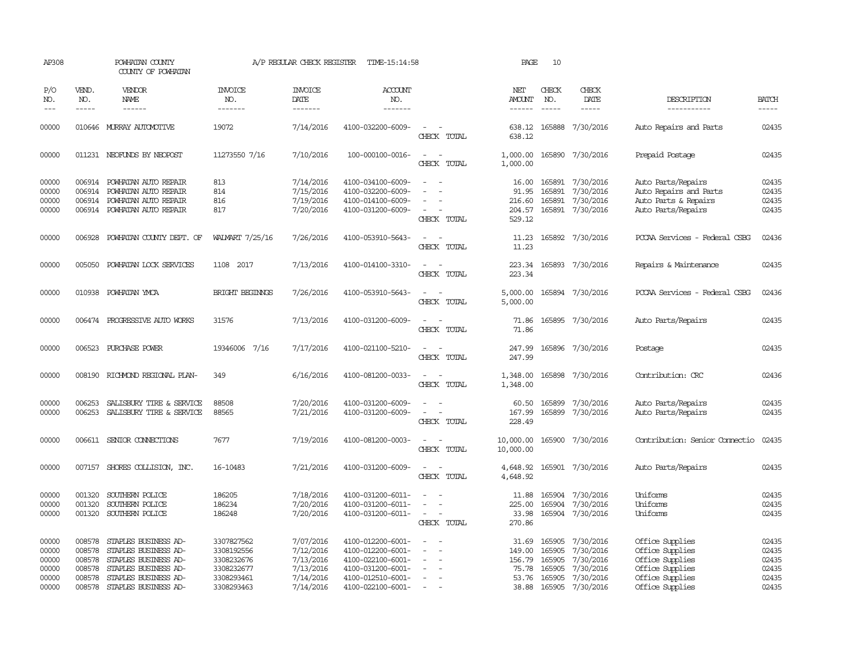| AP308                                              |                                                          | POWHATAN COUNTY<br>COUNTY OF POWHATAN                                                                                                        |                                                                                  | A/P REGULAR CHECK REGISTER                                                 | TIME-15:14:58                                                                                                              |                                                                     | PAGE                                                 | 10                                             |                                                                                   |                                                                                                                |                                                    |
|----------------------------------------------------|----------------------------------------------------------|----------------------------------------------------------------------------------------------------------------------------------------------|----------------------------------------------------------------------------------|----------------------------------------------------------------------------|----------------------------------------------------------------------------------------------------------------------------|---------------------------------------------------------------------|------------------------------------------------------|------------------------------------------------|-----------------------------------------------------------------------------------|----------------------------------------------------------------------------------------------------------------|----------------------------------------------------|
| P/O<br>NO.<br>$---$                                | VEND.<br>NO.<br>$- - - - -$                              | VENDOR<br><b>NAME</b><br>$- - - - - -$                                                                                                       | <b>INVOICE</b><br>NO.<br>-------                                                 | <b>INVOICE</b><br><b>DATE</b><br>-------                                   | <b>ACCOUNT</b><br>NO.<br>-------                                                                                           |                                                                     | NET<br><b>AMOUNT</b><br>------                       | CHECK<br>NO.<br>$\frac{1}{2}$                  | CHECK<br>DATE<br>-----                                                            | DESCRIPTION<br>-----------                                                                                     | <b>BATCH</b><br>-----                              |
| 00000                                              |                                                          | 010646 MURRAY AUTOMOTTVE                                                                                                                     | 19072                                                                            | 7/14/2016                                                                  | 4100-032200-6009-                                                                                                          | $\sim$<br>CHECK TOTAL                                               | 638.12<br>638.12                                     | 165888                                         | 7/30/2016                                                                         | Auto Repairs and Parts                                                                                         | 02435                                              |
| 00000                                              |                                                          | 011231 NEOFUNDS BY NEOPOST                                                                                                                   | 11273550 7/16                                                                    | 7/10/2016                                                                  | 100-000100-0016-                                                                                                           | $\overline{\phantom{a}}$<br>$\overline{\phantom{0}}$<br>CHECK TOTAL | 1,000.00                                             |                                                | 1,000.00 165890 7/30/2016                                                         | Prepaid Postage                                                                                                | 02435                                              |
| 00000<br>00000<br>00000<br>00000                   | 006914<br>006914                                         | 006914 POWHATAN AUTO REPAIR<br>POWHATAN AUTO REPAIR<br>POWHATAN AUTO REPAIR<br>006914 POWHATAN AUTO REPAIR                                   | 813<br>814<br>816<br>817                                                         | 7/14/2016<br>7/15/2016<br>7/19/2016<br>7/20/2016                           | 4100-034100-6009-<br>4100-032200-6009-<br>4100-014100-6009-<br>4100-031200-6009-                                           | CHECK TOTAL                                                         | 16.00<br>91.95<br>216.60<br>204.57<br>529.12         | 165891<br>165891                               | 165891 7/30/2016<br>7/30/2016<br>7/30/2016<br>165891 7/30/2016                    | Auto Parts/Repairs<br>Auto Repairs and Parts<br>Auto Parts & Repairs<br>Auto Parts/Repairs                     | 02435<br>02435<br>02435<br>02435                   |
| 00000                                              | 006928                                                   | POWHATAN COUNTY DEPT. OF                                                                                                                     | WALMART 7/25/16                                                                  | 7/26/2016                                                                  | 4100-053910-5643-                                                                                                          | CHECK TOTAL                                                         | 11.23<br>11.23                                       |                                                | 165892 7/30/2016                                                                  | PCCAA Services - Federal CSBG                                                                                  | 02436                                              |
| 00000                                              | 005050                                                   | POWHATAN LOCK SERVICES                                                                                                                       | 1108 2017                                                                        | 7/13/2016                                                                  | 4100-014100-3310-                                                                                                          | $\sim$<br>$\overline{\phantom{a}}$<br>CHECK TOTAL                   | 223.34<br>223.34                                     |                                                | 165893 7/30/2016                                                                  | Repairs & Maintenance                                                                                          | 02435                                              |
| 00000                                              |                                                          | 010938 POWHATAN YMCA                                                                                                                         | <b>BRIGHT BEGINNGS</b>                                                           | 7/26/2016                                                                  | 4100-053910-5643-                                                                                                          | CHECK TOTAL                                                         | 5,000.00<br>5,000.00                                 |                                                | 165894 7/30/2016                                                                  | PCCAA Services - Federal CSBG                                                                                  | 02436                                              |
| 00000                                              |                                                          | 006474 PROGRESSIVE AUTO WORKS                                                                                                                | 31576                                                                            | 7/13/2016                                                                  | 4100-031200-6009-                                                                                                          | CHECK TOTAL                                                         | 71.86<br>71.86                                       |                                                | 165895 7/30/2016                                                                  | Auto Parts/Repairs                                                                                             | 02435                                              |
| 00000                                              |                                                          | 006523 PURCHASE POWER                                                                                                                        | 19346006 7/16                                                                    | 7/17/2016                                                                  | 4100-021100-5210-                                                                                                          | $\sim$<br>CHECK TOTAL                                               | 247.99<br>247.99                                     |                                                | 165896 7/30/2016                                                                  | Postage                                                                                                        | 02435                                              |
| 00000                                              |                                                          | 008190 RICHMOND REGIONAL PLAN-                                                                                                               | 349                                                                              | 6/16/2016                                                                  | 4100-081200-0033-                                                                                                          | $\overline{\phantom{a}}$<br>CHECK TOTAL                             | 1,348.00<br>1,348.00                                 |                                                | 165898 7/30/2016                                                                  | Contribution: CRC                                                                                              | 02436                                              |
| 00000<br>00000                                     | 006253<br>006253                                         | SALISBURY TIRE & SERVICE<br>SALISBURY TIRE & SERVICE                                                                                         | 88508<br>88565                                                                   | 7/20/2016<br>7/21/2016                                                     | 4100-031200-6009-<br>4100-031200-6009-                                                                                     | $\sim$<br>CHECK TOTAL                                               | 60.50<br>167.99<br>228.49                            | 165899                                         | 165899 7/30/2016<br>7/30/2016                                                     | Auto Parts/Repairs<br>Auto Parts/Repairs                                                                       | 02435<br>02435                                     |
| 00000                                              |                                                          | 006611 SENIOR CONNECTIONS                                                                                                                    | 7677                                                                             | 7/19/2016                                                                  | 4100-081200-0003-                                                                                                          | CHECK TOTAL                                                         | 10,000.00                                            |                                                | 10,000.00 165900 7/30/2016                                                        | Contribution: Senior Connectio                                                                                 | 02435                                              |
| 00000                                              |                                                          | 007157 SHORES COLLISION, INC.                                                                                                                | 16-10483                                                                         | 7/21/2016                                                                  | 4100-031200-6009-                                                                                                          | $\sim$<br>$\sim$<br>CHECK TOTAL                                     | 4,648.92<br>4,648.92                                 |                                                | 165901 7/30/2016                                                                  | Auto Parts/Repairs                                                                                             | 02435                                              |
| 00000<br>00000<br>00000                            | 001320<br>001320<br>001320                               | SOUTHERN POLICE<br>SOUTHERN POLICE<br>SOUTHERN POLICE                                                                                        | 186205<br>186234<br>186248                                                       | 7/18/2016<br>7/20/2016<br>7/20/2016                                        | 4100-031200-6011-<br>4100-031200-6011-<br>4100-031200-6011-                                                                | $\equiv$<br>$\overline{\phantom{a}}$<br>CHECK TOTAL                 | 11.88<br>225.00<br>33.98<br>270.86                   | 165904                                         | 165904 7/30/2016<br>7/30/2016<br>165904 7/30/2016                                 | Uniforms<br>Uniforms<br>Uniforms                                                                               | 02435<br>02435<br>02435                            |
| 00000<br>00000<br>00000<br>00000<br>00000<br>00000 | 008578<br>008578<br>008578<br>008578<br>008578<br>008578 | STAPLES BUSINESS AD-<br>STAPLES BUSINESS AD-<br>STAPLES BUSINESS AD-<br>STAPLES BUSINESS AD-<br>STAPLES BUSINESS AD-<br>STAPLES BUSINESS AD- | 3307827562<br>3308192556<br>3308232676<br>3308232677<br>3308293461<br>3308293463 | 7/07/2016<br>7/12/2016<br>7/13/2016<br>7/13/2016<br>7/14/2016<br>7/14/2016 | 4100-012200-6001-<br>4100-012200-6001-<br>4100-022100-6001-<br>4100-031200-6001-<br>4100-012510-6001-<br>4100-022100-6001- | $\overline{\phantom{a}}$                                            | 31.69<br>149.00<br>156.79<br>75.78<br>53.76<br>38.88 | 165905<br>165905<br>165905<br>165905<br>165905 | 7/30/2016<br>7/30/2016<br>7/30/2016<br>7/30/2016<br>7/30/2016<br>165905 7/30/2016 | Office Supplies<br>Office Supplies<br>Office Supplies<br>Office Supplies<br>Office Supplies<br>Office Supplies | 02435<br>02435<br>02435<br>02435<br>02435<br>02435 |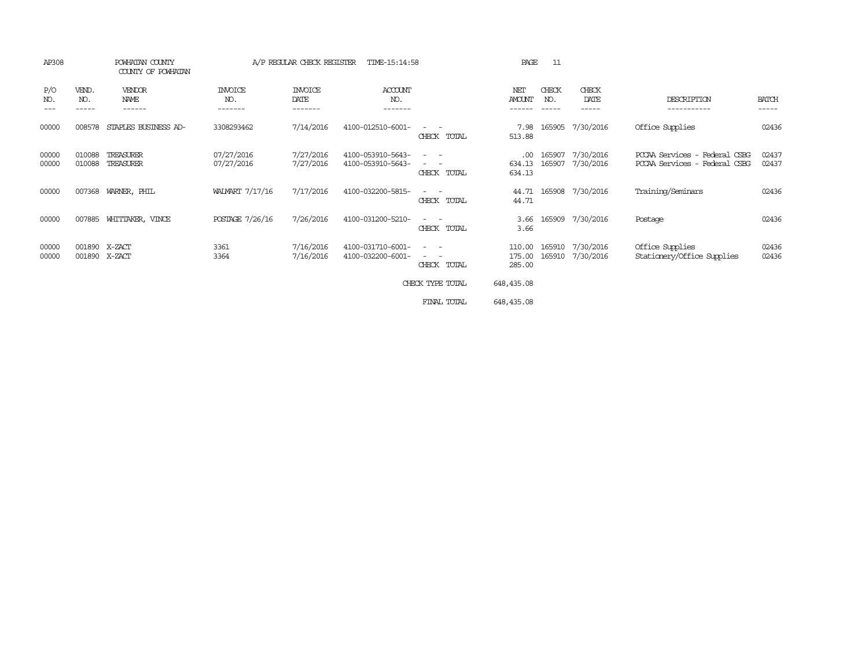| AP308             |                       | POWHATAN COUNTY<br>COUNTY OF POWHATAN | A/P REGULAR CHECK REGISTER<br>TIME-15:14:58 |                            |                                        |                                                                                                                                                                                    | PAGE<br>11                 |                        |                        |                                                                |                       |
|-------------------|-----------------------|---------------------------------------|---------------------------------------------|----------------------------|----------------------------------------|------------------------------------------------------------------------------------------------------------------------------------------------------------------------------------|----------------------------|------------------------|------------------------|----------------------------------------------------------------|-----------------------|
| P/O<br>NO.<br>--- | VEND.<br>NO.<br>----- | VENDOR<br>NAME<br>------              | INVOICE<br>NO.<br>-------                   | INVOICE<br>DATE<br>------- | ACCOUNT<br>NO.<br>-------              |                                                                                                                                                                                    | NET<br>AMOUNT              | CHECK<br>NO.<br>------ | CHECK<br>DATE<br>----- | DESCRIPTION<br>-----------                                     | <b>BATCH</b><br>----- |
| 00000             | 008578                | STAPLES BUSINESS AD-                  | 3308293462                                  | 7/14/2016                  | 4100-012510-6001-                      | CHECK TOTAL                                                                                                                                                                        | 7.98<br>513.88             | 165905                 | 7/30/2016              | Office Supplies                                                | 02436                 |
| 00000<br>00000    | 010088<br>010088      | TREASURER<br>TREASURER                | 07/27/2016<br>07/27/2016                    | 7/27/2016<br>7/27/2016     | 4100-053910-5643-<br>4100-053910-5643- | $\overline{\phantom{a}}$<br>$ -$<br>CHECK TOTAL                                                                                                                                    | .00<br>634.13<br>634.13    | 165907<br>165907       | 7/30/2016<br>7/30/2016 | PCCAA Services - Federal CSBG<br>PCCAA Services - Federal CSBG | 02437<br>02437        |
| 00000             | 007368                | WARNER, PHIL                          | WALMART 7/17/16                             | 7/17/2016                  | 4100-032200-5815-                      | CHECK TOTAL                                                                                                                                                                        | 44.71<br>44.71             |                        | 165908 7/30/2016       | Training/Seminars                                              | 02436                 |
| 00000             | 007885                | WHITTAKER, VINCE                      | POSTAGE 7/26/16                             | 7/26/2016                  | 4100-031200-5210-                      | $\frac{1}{2} \left( \frac{1}{2} \right) \left( \frac{1}{2} \right) \left( \frac{1}{2} \right) \left( \frac{1}{2} \right)$<br>CHECK TOTAL                                           | 3.66<br>3.66               |                        | 165909 7/30/2016       | Postage                                                        | 02436                 |
| 00000<br>00000    | 001890<br>001890      | X-ZACT<br>X-ZACT                      | 3361<br>3364                                | 7/16/2016<br>7/16/2016     | 4100-031710-6001-<br>4100-032200-6001- | $\frac{1}{2} \left( \frac{1}{2} \right) \left( \frac{1}{2} \right) \left( \frac{1}{2} \right) \left( \frac{1}{2} \right)$<br>$\sim$ $-$<br>$\overline{\phantom{a}}$<br>CHECK TOTAL | 110.00<br>175.00<br>285.00 | 165910<br>165910       | 7/30/2016<br>7/30/2016 | Office Supplies<br>Stationery/Office Supplies                  | 02436<br>02436        |
|                   |                       |                                       |                                             |                            |                                        | CHECK TYPE TOTAL                                                                                                                                                                   | 648,435.08                 |                        |                        |                                                                |                       |
|                   |                       |                                       |                                             |                            |                                        | FINAL TOTAL                                                                                                                                                                        | 648, 435.08                |                        |                        |                                                                |                       |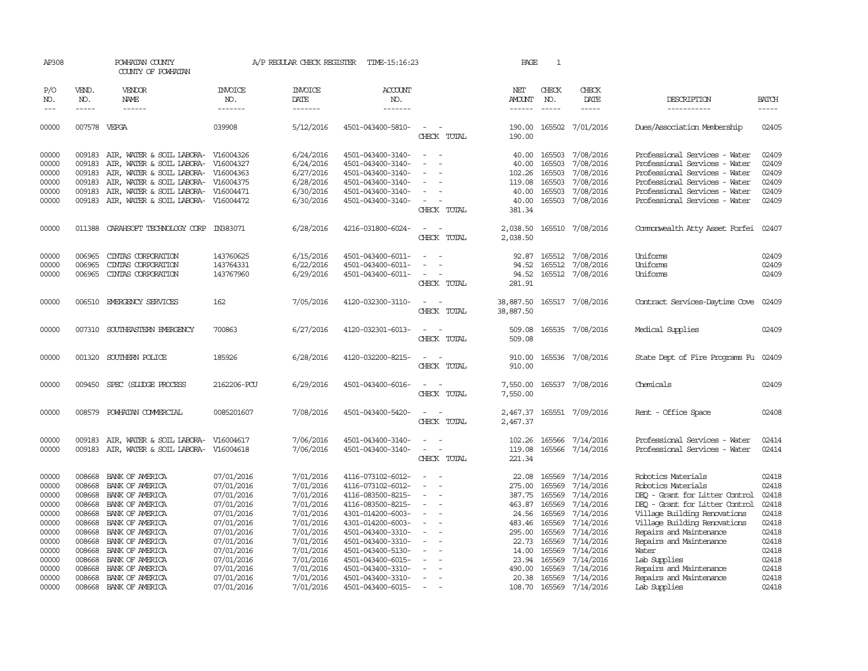| AP308               |                               | POWHATAN COUNTY<br>COUNTY OF POWHATAN            |                                  | A/P REGULAR CHECK REGISTER                | TIME-15:16:23                          |                                                      | PAGE                           | $\mathbf{1}$                  |                        |                                         |                             |
|---------------------|-------------------------------|--------------------------------------------------|----------------------------------|-------------------------------------------|----------------------------------------|------------------------------------------------------|--------------------------------|-------------------------------|------------------------|-----------------------------------------|-----------------------------|
| P/O<br>NO.<br>$---$ | VEND.<br>NO.<br>$\frac{1}{2}$ | VENDOR<br>NAME<br>$- - - - - -$                  | <b>INVOICE</b><br>NO.<br>------- | <b>INVOICE</b><br>DATE<br>$- - - - - - -$ | <b>ACCOUNT</b><br>NO.<br>-------       |                                                      | NET<br>AMOUNT<br>$- - - - - -$ | CHECK<br>NO.<br>$\frac{1}{2}$ | CHECK<br>DATE<br>----- | DESCRIPTION<br>-----------              | <b>BATCH</b><br>$- - - - -$ |
| 00000               | 007578 VEPGA                  |                                                  | 039908                           | 5/12/2016                                 | 4501-043400-5810-                      | $\sim$                                               |                                | 190.00 165502                 | 7/01/2016              | Dues/Association Membership             | 02405                       |
|                     |                               |                                                  |                                  |                                           |                                        | CHECK TOTAL                                          | 190.00                         |                               |                        |                                         |                             |
| 00000               |                               | 009183 AIR, WATER & SOIL LABORA- V16004326       |                                  | 6/24/2016                                 | 4501-043400-3140-                      | $\equiv$<br>$\sim$                                   |                                | 40.00 165503                  | 7/08/2016              | Professional Services - Water           | 02409                       |
| 00000               | 009183                        | AIR, WATER & SOIL LABORA-                        | V16004327                        | 6/24/2016                                 | 4501-043400-3140-                      |                                                      | 40.00                          | 165503                        | 7/08/2016              | Professional Services - Water           | 02409                       |
| 00000               | 009183                        | AIR, WATER & SOIL LABORA-                        | V16004363                        | 6/27/2016                                 | 4501-043400-3140-                      |                                                      | 102.26                         | 165503                        | 7/08/2016              | Professional Services - Water           | 02409                       |
| 00000               | 009183                        | AIR, WATER & SOIL LABORA-                        | V16004375                        | 6/28/2016                                 | 4501-043400-3140-                      | $\overline{\phantom{a}}$                             | 119.08                         | 165503                        | 7/08/2016              | Professional Services - Water           | 02409                       |
| 00000               | 009183                        | AIR, WATER & SOIL LABORA- V16004471              |                                  | 6/30/2016                                 | 4501-043400-3140-                      |                                                      | 40.00                          | 165503                        | 7/08/2016              | Professional Services - Water           | 02409                       |
| 00000               |                               | 009183 AIR, WATER & SOIL LABORA- V16004472       |                                  | 6/30/2016                                 | 4501-043400-3140-                      | CHECK TOTAL                                          | 40.00<br>381.34                | 165503                        | 7/08/2016              | Professional Services - Water           | 02409                       |
| 00000               | 011388                        | CARAHSOFT TECHNOLOGY CORP IN383071               |                                  | 6/28/2016                                 | 4216-031800-6024-                      | $\overline{\phantom{a}}$<br>CHECK TOTAL              | 2,038.50<br>2,038.50           | 165510                        | 7/08/2016              | Commonwealth Atty Asset Forfei          | 02407                       |
| 00000               | 006965                        | CINIAS CORPORATION                               | 143760625                        | 6/15/2016                                 | 4501-043400-6011-                      |                                                      | 92.87                          | 165512                        | 7/08/2016              | Uniforms                                | 02409                       |
| 00000               | 006965                        | CINIAS CORPORATION                               | 143764331                        | 6/22/2016                                 | 4501-043400-6011-                      |                                                      | 94.52                          | 165512                        | 7/08/2016              | Uniforms                                | 02409                       |
| 00000               | 006965                        | CINIAS CORPORATION                               | 143767960                        | 6/29/2016                                 | 4501-043400-6011-                      | $\overline{\phantom{a}}$                             | 94.52                          | 165512                        | 7/08/2016              | Uniforms                                | 02409                       |
|                     |                               |                                                  |                                  |                                           |                                        | CHECK TOTAL                                          | 281.91                         |                               |                        |                                         |                             |
| 00000               | 006510                        | EMERGENCY SERVICES                               | 162                              | 7/05/2016                                 | 4120-032300-3110-                      |                                                      | 38,887.50                      |                               | 165517 7/08/2016       | Contract Services-Daytime Cove          | 02409                       |
|                     |                               |                                                  |                                  |                                           |                                        | CHECK TOTAL                                          | 38,887.50                      |                               |                        |                                         |                             |
| 00000               | 007310                        | SOUTHEASTERN EMERGENCY                           | 700863                           | 6/27/2016                                 | 4120-032301-6013-                      | CHECK TOTAL                                          | 509.08<br>509.08               |                               | 165535 7/08/2016       | Medical Supplies                        | 02409                       |
|                     |                               |                                                  |                                  |                                           |                                        |                                                      |                                |                               |                        |                                         |                             |
| 00000               |                               | 001320 SOUTHERN POLICE                           | 185926                           | 6/28/2016                                 | 4120-032200-8215-                      |                                                      | 910.00                         |                               | 165536 7/08/2016       | State Dept of Fire Programs Fu          | 02409                       |
|                     |                               |                                                  |                                  |                                           |                                        | CHECK TOTAL                                          | 910.00                         |                               |                        |                                         |                             |
| 00000               | 009450                        | SPEC (SLUDGE PROCESS                             | 2162206-PCU                      | 6/29/2016                                 | 4501-043400-6016-                      |                                                      | 7,550.00                       |                               | 165537 7/08/2016       | Chemicals                               | 02409                       |
|                     |                               |                                                  |                                  |                                           |                                        | CHECK TOTAL                                          | 7,550.00                       |                               |                        |                                         |                             |
| 00000               |                               | 008579 POWHATAN COMMERCIAL                       | 0085201607                       | 7/08/2016                                 | 4501-043400-5420-                      |                                                      | 2,467.37                       |                               | 165551 7/09/2016       | Rent - Office Space                     | 02408                       |
|                     |                               |                                                  |                                  |                                           |                                        | CHECK TOTAL                                          | 2,467.37                       |                               |                        |                                         |                             |
| 00000               |                               | 009183 AIR, WATER & SOIL LABORA- V16004617       |                                  | 7/06/2016                                 | 4501-043400-3140-                      | $\overline{\phantom{a}}$<br>$\overline{\phantom{a}}$ |                                | 102.26 165566                 | 7/14/2016              | Professional Services - Water           | 02414                       |
| 00000               |                               | 009183 AIR, WATER & SOIL LABORA-                 | V16004618                        | 7/06/2016                                 | 4501-043400-3140-                      | $\sim$<br>$\overline{\phantom{a}}$<br>CHECK TOTAL    | 119.08<br>221.34               | 165566                        | 7/14/2016              | Professional Services - Water           | 02414                       |
| 00000               | 008668                        | BANK OF AMERICA                                  | 07/01/2016                       | 7/01/2016                                 | 4116-073102-6012-                      | $\sim$<br>$\sim$                                     | 22.08                          | 165569                        | 7/14/2016              | Robotics Materials                      | 02418                       |
| 00000               | 008668                        | BANK OF AMERICA                                  | 07/01/2016                       | 7/01/2016                                 | 4116-073102-6012-                      |                                                      | 275.00                         | 165569                        | 7/14/2016              | Robotics Materials                      | 02418                       |
| 00000               | 008668                        | BANK OF AMERICA                                  | 07/01/2016                       | 7/01/2016                                 | 4116-083500-8215-                      | $\overline{\phantom{a}}$                             | 387.75                         | 165569                        | 7/14/2016              | DEO - Grant for Litter Control          | 02418                       |
| 00000               | 008668                        | BANK OF AMERICA                                  | 07/01/2016                       | 7/01/2016                                 | 4116-083500-8215-                      | $\overline{\phantom{a}}$                             | 463.87                         | 165569                        | 7/14/2016              | DEQ - Grant for Litter Control          | 02418                       |
| 00000               |                               | 008668 BANK OF AMERICA                           | 07/01/2016                       | 7/01/2016                                 | 4301-014200-6003-                      |                                                      | 24.56                          | 165569                        | 7/14/2016              | Village Building Renovations            | 02418                       |
| 00000               |                               | 008668 BANK OF AMERICA                           | 07/01/2016                       | 7/01/2016                                 | 4301-014200-6003-                      |                                                      | 483.46                         | 165569                        | 7/14/2016              | Village Building Renovations            | 02418                       |
| 00000               |                               | 008668 BANK OF AMERICA                           | 07/01/2016                       | 7/01/2016                                 | 4501-043400-3310-                      | $\overline{\phantom{a}}$<br>$\equiv$                 | 295.00                         | 165569                        | 7/14/2016              | Repairs and Maintenance                 | 02418                       |
| 00000               |                               | 008668 BANK OF AMERICA                           | 07/01/2016                       | 7/01/2016                                 | 4501-043400-3310-                      | $\sim$                                               | 22.73                          | 165569                        | 7/14/2016              | Repairs and Maintenance                 | 02418                       |
| 00000               | 008668                        | BANK OF AMERICA                                  | 07/01/2016                       | 7/01/2016                                 | 4501-043400-5130-                      |                                                      | 14.00                          | 165569                        | 7/14/2016              | Water                                   | 02418                       |
| 00000               | 008668                        | BANK OF AMERICA                                  | 07/01/2016                       | 7/01/2016                                 | 4501-043400-6015-                      |                                                      | 23.94                          | 165569                        | 7/14/2016              | Lab Supplies                            | 02418                       |
| 00000<br>00000      |                               | 008668 BANK OF AMERICA<br>008668 BANK OF AMERICA | 07/01/2016                       | 7/01/2016                                 | 4501-043400-3310-                      | $\sim$                                               | 490.00<br>20.38                | 165569                        | 7/14/2016              | Repairs and Maintenance                 | 02418<br>02418              |
| 00000               |                               | 008668 BANK OF AMERICA                           | 07/01/2016<br>07/01/2016         | 7/01/2016<br>7/01/2016                    | 4501-043400-3310-<br>4501-043400-6015- | $\sim$                                               |                                | 165569<br>108.70 165569       | 7/14/2016<br>7/14/2016 | Repairs and Maintenance<br>Lab Supplies | 02418                       |
|                     |                               |                                                  |                                  |                                           |                                        |                                                      |                                |                               |                        |                                         |                             |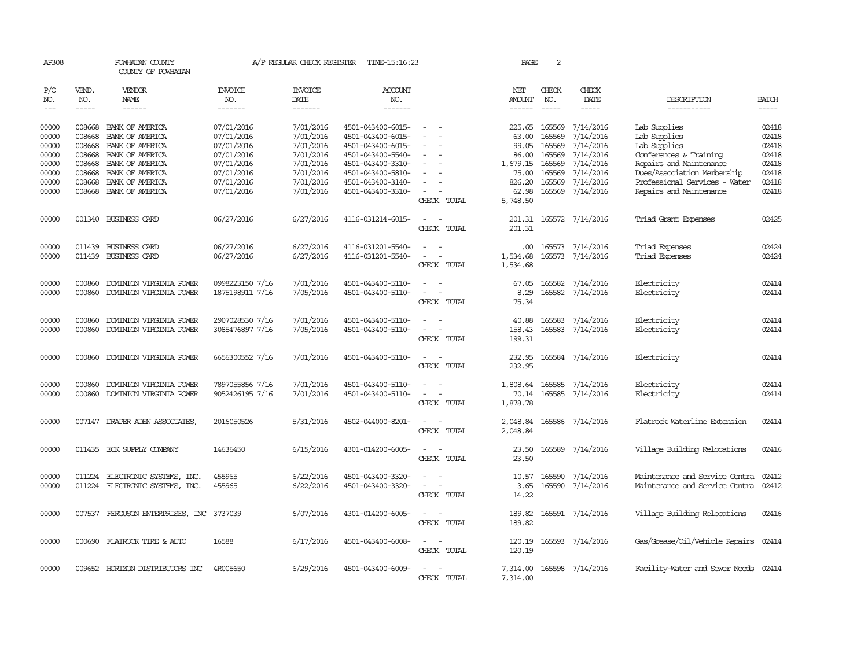| AP308          |                  | POWHATAN COUNTY<br>COUNTY OF POWHATAN    |                          | A/P REGULAR CHECK REGISTER | TIME-15:16:23                          |                                                                     | PAGE                 | 2                             |                        |                                                              |                |
|----------------|------------------|------------------------------------------|--------------------------|----------------------------|----------------------------------------|---------------------------------------------------------------------|----------------------|-------------------------------|------------------------|--------------------------------------------------------------|----------------|
| P/O<br>NO.     | VEND.<br>NO.     | VENDOR<br>NAME                           | <b>INVOICE</b><br>NO.    | <b>INVOICE</b><br>DATE     | ACCOUNT<br>NO.                         |                                                                     | NET<br>AMOUNT        | CHECK<br>NO.<br>$\frac{1}{2}$ | CHECK<br>DATE          | DESCRIPTION                                                  | <b>BATCH</b>   |
| $\frac{1}{2}$  | $- - - - -$      | ------                                   | -------                  | $- - - - - - -$            | -------                                |                                                                     |                      |                               | -----                  | -----------                                                  | $- - - - -$    |
| 00000<br>00000 | 008668<br>008668 | BANK OF AMERICA<br>BANK OF AMERICA       | 07/01/2016<br>07/01/2016 | 7/01/2016<br>7/01/2016     | 4501-043400-6015-<br>4501-043400-6015- |                                                                     | 225.65<br>63.00      | 165569<br>165569              | 7/14/2016<br>7/14/2016 | Lab Supplies<br>Lab Supplies                                 | 02418<br>02418 |
| 00000          | 008668           | BANK OF AMERICA                          | 07/01/2016               | 7/01/2016                  | 4501-043400-6015-                      |                                                                     | 99.05                | 165569                        | 7/14/2016              | Lab Supplies                                                 | 02418          |
| 00000          | 008668           | BANK OF AMERICA                          | 07/01/2016               | 7/01/2016                  | 4501-043400-5540-                      | $\overline{\phantom{a}}$                                            | 86.00                | 165569                        | 7/14/2016              | Conferences & Training                                       | 02418<br>02418 |
| 00000<br>00000 | 008668<br>008668 | BANK OF AMERICA<br>BANK OF AMERICA       | 07/01/2016               | 7/01/2016<br>7/01/2016     | 4501-043400-3310-<br>4501-043400-5810- |                                                                     | 1,679.15<br>75.00    | 165569<br>165569              | 7/14/2016<br>7/14/2016 | Repairs and Maintenance                                      | 02418          |
| 00000          | 008668           | BANK OF AMERICA                          | 07/01/2016<br>07/01/2016 | 7/01/2016                  | 4501-043400-3140-                      | $\equiv$                                                            | 826.20               | 165569                        | 7/14/2016              | Dues/Association Membership<br>Professional Services - Water | 02418          |
| 00000          |                  | 008668 BANK OF AMERICA                   | 07/01/2016               | 7/01/2016                  | 4501-043400-3310-                      | $\overline{\phantom{a}}$                                            | 62.98                | 165569                        | 7/14/2016              | Repairs and Maintenance                                      | 02418          |
|                |                  |                                          |                          |                            |                                        | CHECK TOTAL                                                         | 5,748.50             |                               |                        |                                                              |                |
| 00000          |                  | 001340 BUSINESS CARD                     | 06/27/2016               | 6/27/2016                  | 4116-031214-6015-                      | $\overline{\phantom{a}}$<br>$\overline{\phantom{a}}$<br>CHECK TOTAL | 201.31<br>201.31     |                               | 165572 7/14/2016       | Triad Grant Expenses                                         | 02425          |
| 00000          | 011439           | BUSINESS CARD                            | 06/27/2016               | 6/27/2016                  | 4116-031201-5540-                      |                                                                     | .00.                 | 165573                        | 7/14/2016              | Triad Expenses                                               | 02424          |
| 00000          |                  | 011439 BUSINESS CARD                     | 06/27/2016               | 6/27/2016                  | 4116-031201-5540-                      |                                                                     | 1,534.68             | 165573                        | 7/14/2016              | Triad Expenses                                               | 02424          |
|                |                  |                                          |                          |                            |                                        | CHECK TOTAL                                                         | 1,534.68             |                               |                        |                                                              |                |
| 00000          | 000860           | DOMINION VIRGINIA POWER                  | 0998223150 7/16          | 7/01/2016                  | 4501-043400-5110-                      |                                                                     | 67.05                | 165582                        | 7/14/2016              | Electricity                                                  | 02414          |
| 00000          | 000860           | DOMINION VIRGINIA POWER                  | 1875198911 7/16          | 7/05/2016                  | 4501-043400-5110-                      | CHECK TOTAL                                                         | 8.29<br>75.34        |                               | 165582 7/14/2016       | Electricity                                                  | 02414          |
| 00000          | 000860           | DOMINION VIRGINIA POWER                  | 2907028530 7/16          | 7/01/2016                  | 4501-043400-5110-                      |                                                                     | 40.88                | 165583                        | 7/14/2016              | Electricity                                                  | 02414          |
| 00000          | 000860           | DOMINION VIRGINIA POWER                  | 3085476897 7/16          | 7/05/2016                  | 4501-043400-5110-                      | CHECK TOTAL                                                         | 158.43<br>199.31     |                               | 165583 7/14/2016       | Electricity                                                  | 02414          |
| 00000          | 000860           | DOMINION VIRGINIA POWER                  | 6656300552 7/16          | 7/01/2016                  | 4501-043400-5110-                      | $\overline{\phantom{a}}$<br>CHECK TOTAL                             | 232.95<br>232.95     |                               | 165584 7/14/2016       | Electricity                                                  | 02414          |
| 00000          | 000860           | DOMINION VIRGINIA POWER                  | 7897055856 7/16          | 7/01/2016                  | 4501-043400-5110-                      | $\overline{\phantom{a}}$                                            | 1,808.64             | 165585                        | 7/14/2016              | Electricity                                                  | 02414          |
| 00000          |                  | 000860 DOMINION VIRGINIA POWER           | 9052426195 7/16          | 7/01/2016                  | 4501-043400-5110-                      | $\overline{\phantom{a}}$                                            | 70.14                | 165585                        | 7/14/2016              | Electricity                                                  | 02414          |
|                |                  |                                          |                          |                            |                                        | CHECK TOTAL                                                         | 1,878.78             |                               |                        |                                                              |                |
| 00000          |                  | 007147 DRAPER ADEN ASSOCIATES            | 2016050526               | 5/31/2016                  | 4502-044000-8201-                      | $\sim$<br>$\overline{\phantom{a}}$<br>CHECK<br>TOTAL                | 2,048.84<br>2,048.84 |                               | 165586 7/14/2016       | Flatrock Waterline Extension                                 | 02414          |
| 00000          |                  | 011435 ECK SUPPLY COMPANY                | 14636450                 | 6/15/2016                  | 4301-014200-6005-                      | CHECK TOTAL                                                         | 23.50<br>23.50       |                               | 165589 7/14/2016       | Village Building Relocations                                 | 02416          |
| 00000          | 011224           | ELECTRONIC SYSTEMS, INC.                 | 455965                   | 6/22/2016                  | 4501-043400-3320-                      | $\overline{\phantom{a}}$                                            | 10.57                | 165590                        | 7/14/2016              | Maintenance and Service Contra                               | 02412          |
| 00000          |                  | 011224 ELECTRONIC SYSTEMS, INC.          | 455965                   | 6/22/2016                  | 4501-043400-3320-                      | $\overline{\phantom{a}}$<br>$\overline{\phantom{a}}$                | 3.65                 | 165590                        | 7/14/2016              | Maintenance and Service Contra                               | 02412          |
|                |                  |                                          |                          |                            |                                        | CHECK TOTAL                                                         | 14.22                |                               |                        |                                                              |                |
| 00000          |                  | 007537 FERGUSON ENTERPRISES, INC 3737039 |                          | 6/07/2016                  | 4301-014200-6005-                      | $\overline{\phantom{a}}$<br><b>.</b><br>CHECK TOTAL                 | 189.82<br>189.82     |                               | 165591 7/14/2016       | Village Building Relocations                                 | 02416          |
| 00000          |                  | 000690 FLATROCK TIRE & AUTO              | 16588                    | 6/17/2016                  | 4501-043400-6008-                      | $\sim$<br>$\overline{\phantom{a}}$<br>CHECK TOTAL                   | 120.19<br>120.19     |                               | 165593 7/14/2016       | Gas/Grease/Oil/Vehicle Repairs                               | 02414          |
| 00000          |                  | 009652 HORIZON DISTRIBUTORS INC          | 4R005650                 | 6/29/2016                  | 4501-043400-6009-                      | CHECK TOTAL                                                         | 7,314.00<br>7,314.00 |                               | 165598 7/14/2016       | Facility-Water and Sewer Needs 02414                         |                |
|                |                  |                                          |                          |                            |                                        |                                                                     |                      |                               |                        |                                                              |                |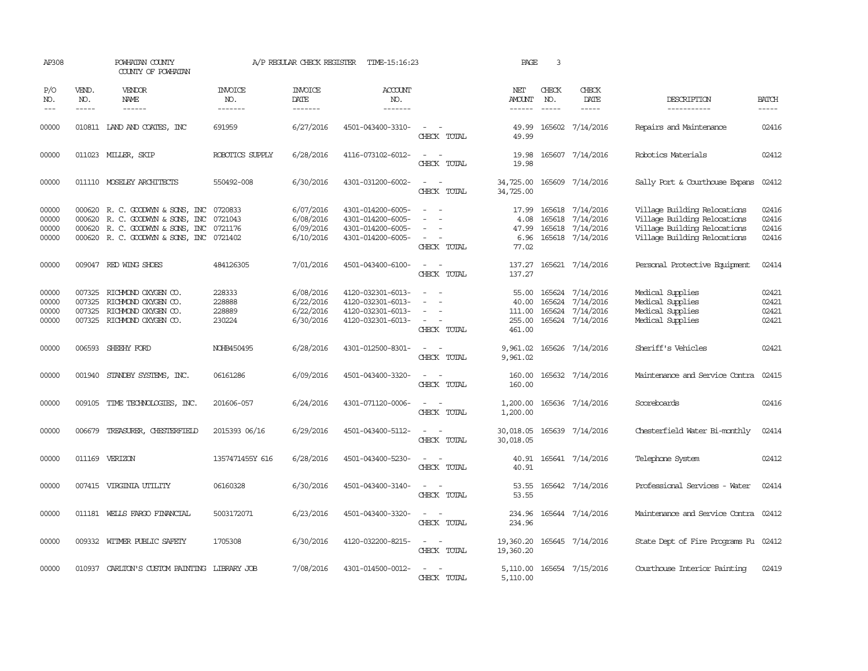| AP308                            |                               | POWHATAN COUNTY<br>COUNTY OF POWHATAN                                                                                                                                                                                                                                                                                                                                                                                                                                                        |                                      | A/P REGULAR CHECK REGISTER                       | TIME-15:16:23                                                                    |                                                                                                                             | PAGE                                         | 3                             |                                                                       |                                                                                                                              |                                  |
|----------------------------------|-------------------------------|----------------------------------------------------------------------------------------------------------------------------------------------------------------------------------------------------------------------------------------------------------------------------------------------------------------------------------------------------------------------------------------------------------------------------------------------------------------------------------------------|--------------------------------------|--------------------------------------------------|----------------------------------------------------------------------------------|-----------------------------------------------------------------------------------------------------------------------------|----------------------------------------------|-------------------------------|-----------------------------------------------------------------------|------------------------------------------------------------------------------------------------------------------------------|----------------------------------|
| P/O<br>NO.<br>$---$              | VEND.<br>NO.<br>$\frac{1}{2}$ | VENDOR<br>NAME<br>$\frac{1}{2} \left( \frac{1}{2} \right) \left( \frac{1}{2} \right) \left( \frac{1}{2} \right) \left( \frac{1}{2} \right) \left( \frac{1}{2} \right) \left( \frac{1}{2} \right) \left( \frac{1}{2} \right) \left( \frac{1}{2} \right) \left( \frac{1}{2} \right) \left( \frac{1}{2} \right) \left( \frac{1}{2} \right) \left( \frac{1}{2} \right) \left( \frac{1}{2} \right) \left( \frac{1}{2} \right) \left( \frac{1}{2} \right) \left( \frac{1}{2} \right) \left( \frac$ | INVOICE<br>NO.<br>--------           | <b>INVOICE</b><br>DATE<br>--------               | ACCOUNT<br>NO.<br>-------                                                        |                                                                                                                             | NET<br>AMOUNT<br>$- - - - - -$               | CHECK<br>NO.<br>$\frac{1}{2}$ | CHECK<br>DATE<br>$\frac{1}{2}$                                        | DESCRIPTION<br>-----------                                                                                                   | <b>BATCH</b><br>-----            |
| 00000                            |                               | 010811 IAND AND COATES, INC                                                                                                                                                                                                                                                                                                                                                                                                                                                                  | 691959                               | 6/27/2016                                        | 4501-043400-3310-                                                                | CHECK TOTAL                                                                                                                 | 49.99<br>49.99                               |                               | 165602 7/14/2016                                                      | Repairs and Maintenance                                                                                                      | 02416                            |
| 00000                            |                               | 011023 MILLER, SKIP                                                                                                                                                                                                                                                                                                                                                                                                                                                                          | ROBOTICS SUPPLY                      | 6/28/2016                                        | 4116-073102-6012-                                                                | CHECK TOTAL                                                                                                                 | 19.98<br>19.98                               |                               | 165607 7/14/2016                                                      | Robotics Materials                                                                                                           | 02412                            |
| 00000                            |                               | 011110 MOSELEY ARCHITECTS                                                                                                                                                                                                                                                                                                                                                                                                                                                                    | 550492-008                           | 6/30/2016                                        | 4301-031200-6002-                                                                | $\sim$<br>CHECK TOTAL                                                                                                       | 34,725.00<br>34,725.00                       |                               | 165609 7/14/2016                                                      | Sally Port & Courthouse Expans                                                                                               | 02412                            |
| 00000<br>00000<br>00000<br>00000 |                               | 000620 R. C. GOODWYN & SONS, INC<br>000620 R. C. GOODWYN & SONS, INC<br>000620 R.C. GOODWYN & SONS, INC<br>000620 R. C. GOODWYN & SONS, INC 0721402                                                                                                                                                                                                                                                                                                                                          | 0720833<br>0721043<br>0721176        | 6/07/2016<br>6/08/2016<br>6/09/2016<br>6/10/2016 | 4301-014200-6005-<br>4301-014200-6005-<br>4301-014200-6005-<br>4301-014200-6005- | $\sim$<br>$\sim$<br>$\overline{\phantom{a}}$<br>CHECK TOTAL                                                                 | 17.99<br>4.08<br>47.99<br>6.96<br>77.02      | 165618                        | 165618 7/14/2016<br>7/14/2016<br>165618 7/14/2016<br>165618 7/14/2016 | Village Building Relocations<br>Village Building Relocations<br>Village Building Relocations<br>Village Building Relocations | 02416<br>02416<br>02416<br>02416 |
| 00000                            |                               | 009047 RED WING SHOES                                                                                                                                                                                                                                                                                                                                                                                                                                                                        | 484126305                            | 7/01/2016                                        | 4501-043400-6100-                                                                | $\sim$ 10 $\,$<br>CHECK TOTAL                                                                                               | 137.27                                       |                               | 137.27 165621 7/14/2016                                               | Personal Protective Equipment                                                                                                | 02414                            |
| 00000<br>00000<br>00000<br>00000 | 007325<br>007325              | RICHMOND OXYGEN CO.<br>RICHMOND OXYGEN CO.<br>007325 RICHMOND OXYGEN CO.<br>007325 RICHMOND OXYGEN CO.                                                                                                                                                                                                                                                                                                                                                                                       | 228333<br>228888<br>228889<br>230224 | 6/08/2016<br>6/22/2016<br>6/22/2016<br>6/30/2016 | 4120-032301-6013-<br>4120-032301-6013-<br>4120-032301-6013-<br>4120-032301-6013- | $\overline{a}$<br>$\sim$<br>CHECK TOTAL                                                                                     | 55.00<br>40.00<br>111.00<br>255.00<br>461.00 | 165624<br>165624              | 165624 7/14/2016<br>7/14/2016<br>7/14/2016<br>165624 7/14/2016        | Medical Supplies<br>Medical Supplies<br>Medical Supplies<br>Medical Supplies                                                 | 02421<br>02421<br>02421<br>02421 |
| 00000                            |                               | 006593 SHEEHY FORD                                                                                                                                                                                                                                                                                                                                                                                                                                                                           | NOHB450495                           | 6/28/2016                                        | 4301-012500-8301-                                                                | $\frac{1}{2} \left( \frac{1}{2} \right) \left( \frac{1}{2} \right) = \frac{1}{2} \left( \frac{1}{2} \right)$<br>CHECK TOTAL | 9,961.02<br>9,961.02                         |                               | 165626 7/14/2016                                                      | Sheriff's Vehicles                                                                                                           | 02421                            |
| 00000                            |                               | 001940 STANDBY SYSTEMS, INC.                                                                                                                                                                                                                                                                                                                                                                                                                                                                 | 06161286                             | 6/09/2016                                        | 4501-043400-3320-                                                                | $\sim$<br>$\sim$<br>CHECK TOTAL                                                                                             | 160.00<br>160.00                             |                               | 165632 7/14/2016                                                      | Maintenance and Service Contra                                                                                               | 02415                            |
| 00000                            |                               | 009105 TIME TECHNOLOGIES, INC.                                                                                                                                                                                                                                                                                                                                                                                                                                                               | 201606-057                           | 6/24/2016                                        | 4301-071120-0006-                                                                | $\sim$ $\sim$<br>CHECK TOTAL                                                                                                | 1,200.00<br>1,200.00                         |                               | 165636 7/14/2016                                                      | Scoreboards                                                                                                                  | 02416                            |
| 00000                            |                               | 006679 TREASURER, CHESTERFIELD                                                                                                                                                                                                                                                                                                                                                                                                                                                               | 2015393 06/16                        | 6/29/2016                                        | 4501-043400-5112-                                                                | $\sim$<br>CHECK TOTAL                                                                                                       | 30,018.05<br>30,018.05                       |                               | 165639 7/14/2016                                                      | Chesterfield Water Bi-monthly                                                                                                | 02414                            |
| 00000                            |                               | 011169 VERIZON                                                                                                                                                                                                                                                                                                                                                                                                                                                                               | 1357471455Y 616                      | 6/28/2016                                        | 4501-043400-5230-                                                                | $\sim$<br>$\sim$<br>CHECK TOTAL                                                                                             | 40.91<br>40.91                               |                               | 165641 7/14/2016                                                      | Telephone System                                                                                                             | 02412                            |
| 00000                            |                               | 007415 VIRGINIA UTILITY                                                                                                                                                                                                                                                                                                                                                                                                                                                                      | 06160328                             | 6/30/2016                                        | 4501-043400-3140-                                                                | $\sim$<br>$\sim$<br>CHECK TOTAL                                                                                             | 53.55<br>53.55                               |                               | 165642 7/14/2016                                                      | Professional Services - Water                                                                                                | 02414                            |
| 00000                            |                               | 011181 WELLS FARGO FINANCIAL                                                                                                                                                                                                                                                                                                                                                                                                                                                                 | 5003172071                           | 6/23/2016                                        | 4501-043400-3320-                                                                | $\sim$<br>CHECK TOTAL                                                                                                       | 234.96<br>234.96                             |                               | 165644 7/14/2016                                                      | Maintenance and Service Contra 02412                                                                                         |                                  |
| 00000                            |                               | 009332 WITMER PUBLIC SAFETY                                                                                                                                                                                                                                                                                                                                                                                                                                                                  | 1705308                              | 6/30/2016                                        | 4120-032200-8215-                                                                | $\frac{1}{2} \left( \frac{1}{2} \right) \left( \frac{1}{2} \right) = \frac{1}{2} \left( \frac{1}{2} \right)$<br>CHECK TOTAL | 19,360.20<br>19,360.20                       |                               | 165645 7/14/2016                                                      | State Dept of Fire Programs Fu 02412                                                                                         |                                  |
| 00000                            |                               | 010937 CARLITON'S CUSTOM PAINTING LIBRARY JOB                                                                                                                                                                                                                                                                                                                                                                                                                                                |                                      | 7/08/2016                                        | 4301-014500-0012-                                                                | CHECK TOTAL                                                                                                                 | 5,110.00                                     |                               | 5,110.00 165654 7/15/2016                                             | Courthouse Interior Painting                                                                                                 | 02419                            |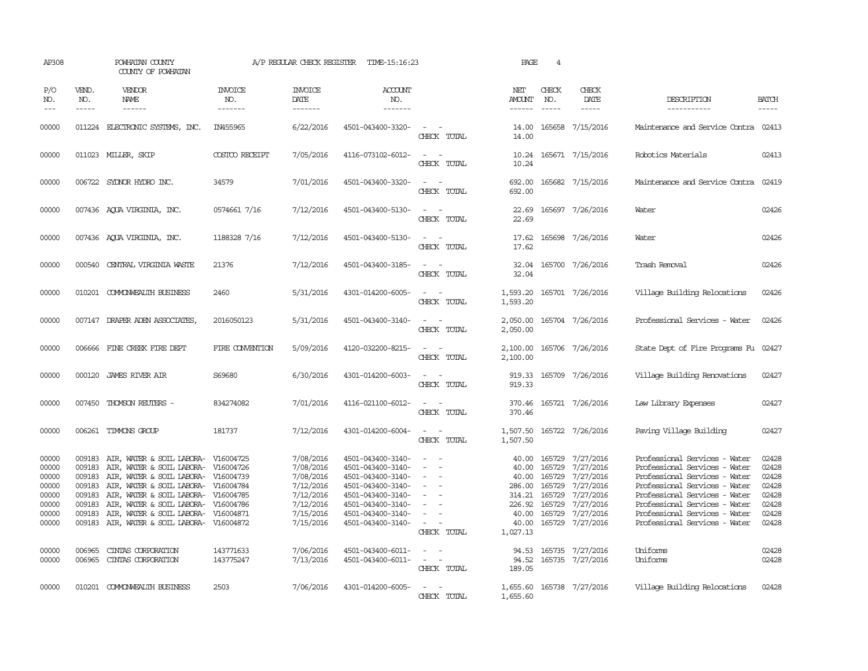| AP308                                                                                  |                                                                    | POWHATAN COUNTY<br>COUNTY OF POWHATAN                                                                                                                                                                                                                                                                                                                                                 |                                  | A/P REGULAR CHECK REGISTER                                                                                                     | TIME-15:16:23                                                                                                                                                                                                  |                                                                                                        | PAGE                                                                                                                   | 4                                                        |                                                                                                                                                     |                                                                                                                                                                                                                                                                                              |                                                                                        |
|----------------------------------------------------------------------------------------|--------------------------------------------------------------------|---------------------------------------------------------------------------------------------------------------------------------------------------------------------------------------------------------------------------------------------------------------------------------------------------------------------------------------------------------------------------------------|----------------------------------|--------------------------------------------------------------------------------------------------------------------------------|----------------------------------------------------------------------------------------------------------------------------------------------------------------------------------------------------------------|--------------------------------------------------------------------------------------------------------|------------------------------------------------------------------------------------------------------------------------|----------------------------------------------------------|-----------------------------------------------------------------------------------------------------------------------------------------------------|----------------------------------------------------------------------------------------------------------------------------------------------------------------------------------------------------------------------------------------------------------------------------------------------|----------------------------------------------------------------------------------------|
| P/O<br>NO.<br>$\qquad \qquad - -$                                                      | VEND.<br>NO.                                                       | <b>VENDOR</b><br>NAME<br>------                                                                                                                                                                                                                                                                                                                                                       | <b>INVOICE</b><br>NO.<br>------- | <b>INVOICE</b><br>DATE<br>-------                                                                                              | ACCOUNT<br>NO.<br>-------                                                                                                                                                                                      |                                                                                                        | NET<br>AMOUNT                                                                                                          | CHECK<br>NO.                                             | CHECK<br>DATE                                                                                                                                       | DESCRIPTION<br>-----------                                                                                                                                                                                                                                                                   | <b>BATCH</b><br>-----                                                                  |
| 00000                                                                                  |                                                                    | 011224 ELECTRONIC SYSTEMS, INC.                                                                                                                                                                                                                                                                                                                                                       | IN455965                         | 6/22/2016                                                                                                                      | 4501-043400-3320-                                                                                                                                                                                              | $\sim$ $\sim$<br>CHECK TOTAL                                                                           | 14.00                                                                                                                  |                                                          | 14.00 165658 7/15/2016                                                                                                                              | Maintenance and Service Contra 02413                                                                                                                                                                                                                                                         |                                                                                        |
| 00000                                                                                  |                                                                    | 011023 MILLER, SKIP                                                                                                                                                                                                                                                                                                                                                                   | COSTCO RECEIPT                   | 7/05/2016                                                                                                                      | 4116-073102-6012-                                                                                                                                                                                              | CHECK TOTAL                                                                                            | 10.24                                                                                                                  |                                                          | 10.24 165671 7/15/2016                                                                                                                              | Robotics Materials                                                                                                                                                                                                                                                                           | 02413                                                                                  |
| 00000                                                                                  |                                                                    | 006722 SYLNOR HYDRO INC.                                                                                                                                                                                                                                                                                                                                                              | 34579                            | 7/01/2016                                                                                                                      | 4501-043400-3320-                                                                                                                                                                                              | $\sim$<br>CHECK TOTAL                                                                                  | 692.00<br>692.00                                                                                                       |                                                          | 165682 7/15/2016                                                                                                                                    | Maintenance and Service Contra                                                                                                                                                                                                                                                               | 02419                                                                                  |
| 00000                                                                                  |                                                                    | 007436 AQUA VIRGINIA, INC.                                                                                                                                                                                                                                                                                                                                                            | 0574661 7/16                     | 7/12/2016                                                                                                                      | 4501-043400-5130-                                                                                                                                                                                              | $\sim$<br>CHECK TOTAL                                                                                  | 22.69<br>22.69                                                                                                         |                                                          | 165697 7/26/2016                                                                                                                                    | Water                                                                                                                                                                                                                                                                                        | 02426                                                                                  |
| 00000                                                                                  |                                                                    | 007436 AQUA VIRGINIA, INC.                                                                                                                                                                                                                                                                                                                                                            | 1188328 7/16                     | 7/12/2016                                                                                                                      | 4501-043400-5130-                                                                                                                                                                                              | $ -$<br>CHECK TOTAL                                                                                    | 17.62<br>17.62                                                                                                         |                                                          | 165698 7/26/2016                                                                                                                                    | Water                                                                                                                                                                                                                                                                                        | 02426                                                                                  |
| 00000                                                                                  |                                                                    | 000540 CENTRAL VIRGINIA WASTE                                                                                                                                                                                                                                                                                                                                                         | 21376                            | 7/12/2016                                                                                                                      | 4501-043400-3185-                                                                                                                                                                                              | CHECK TOTAL                                                                                            | 32.04<br>32.04                                                                                                         |                                                          | 165700 7/26/2016                                                                                                                                    | Trash Removal                                                                                                                                                                                                                                                                                | 02426                                                                                  |
| 00000                                                                                  |                                                                    | 010201 COMONWEALTH BUSINESS                                                                                                                                                                                                                                                                                                                                                           | 2460                             | 5/31/2016                                                                                                                      | 4301-014200-6005-                                                                                                                                                                                              | CHECK TOTAL                                                                                            | 1,593.20<br>1,593.20                                                                                                   |                                                          | 165701 7/26/2016                                                                                                                                    | Village Building Relocations                                                                                                                                                                                                                                                                 | 02426                                                                                  |
| 00000                                                                                  | 007147                                                             | DRAPER ADEN ASSOCIATES                                                                                                                                                                                                                                                                                                                                                                | 2016050123                       | 5/31/2016                                                                                                                      | 4501-043400-3140-                                                                                                                                                                                              | CHECK TOTAL                                                                                            | 2,050.00<br>2,050.00                                                                                                   |                                                          | 165704 7/26/2016                                                                                                                                    | Professional Services - Water                                                                                                                                                                                                                                                                | 02426                                                                                  |
| 00000                                                                                  |                                                                    | 006666 FINE CREEK FIRE DEPT                                                                                                                                                                                                                                                                                                                                                           | FIRE CONVENTION                  | 5/09/2016                                                                                                                      | 4120-032200-8215-                                                                                                                                                                                              | $\sim$ 100 $\mu$<br>CHECK TOTAL                                                                        | 2,100.00<br>2,100.00                                                                                                   |                                                          | 165706 7/26/2016                                                                                                                                    | State Dept of Fire Programs Fu 02427                                                                                                                                                                                                                                                         |                                                                                        |
| 00000                                                                                  |                                                                    | 000120 JAMES RIVER AIR                                                                                                                                                                                                                                                                                                                                                                | S69680                           | 6/30/2016                                                                                                                      | 4301-014200-6003-                                                                                                                                                                                              | CHECK TOTAL                                                                                            | 919.33                                                                                                                 |                                                          | 919.33 165709 7/26/2016                                                                                                                             | Village Building Renovations                                                                                                                                                                                                                                                                 | 02427                                                                                  |
| 00000                                                                                  |                                                                    | 007450 THOMSON REUTERS -                                                                                                                                                                                                                                                                                                                                                              | 834274082                        | 7/01/2016                                                                                                                      | 4116-021100-6012-                                                                                                                                                                                              | $\sim$<br>CHECK TOTAL                                                                                  | 370.46                                                                                                                 |                                                          | 370.46 165721 7/26/2016                                                                                                                             | Law Library Expenses                                                                                                                                                                                                                                                                         | 02427                                                                                  |
| 00000                                                                                  |                                                                    | 006261 TIMMONS GROUP                                                                                                                                                                                                                                                                                                                                                                  | 181737                           | 7/12/2016                                                                                                                      | 4301-014200-6004-                                                                                                                                                                                              | $\overline{\phantom{a}}$<br>CHECK TOTAL                                                                | 1,507.50                                                                                                               |                                                          | 1,507.50 165722 7/26/2016                                                                                                                           | Paving Village Building                                                                                                                                                                                                                                                                      | 02427                                                                                  |
| 00000<br>00000<br>00000<br>00000<br>00000<br>00000<br>00000<br>00000<br>00000<br>00000 | 009183<br>009183<br>009183<br>009183<br>009183<br>006965<br>006965 | AIR, WATER & SOIL LABORA- V16004725<br>009183 AIR, WATER & SOIL LABORA- V16004726<br>AIR, WATER & SOIL LABORA- V16004739<br>009183 AIR, WATER & SOIL LABORA- V16004784<br>AIR, WATER & SOIL LABORA- V16004785<br>AIR, WATER & SOIL LABORA- V16004786<br>AIR, WATER & SOIL LABORA- V16004871<br>009183 AIR, WATER & SOIL LABORA- V16004872<br>CINIAS CORPORATION<br>CINTAS CORPORATION | 143771633<br>143775247           | 7/08/2016<br>7/08/2016<br>7/08/2016<br>7/12/2016<br>7/12/2016<br>7/12/2016<br>7/15/2016<br>7/15/2016<br>7/06/2016<br>7/13/2016 | 4501-043400-3140-<br>4501-043400-3140-<br>4501-043400-3140-<br>4501-043400-3140-<br>4501-043400-3140-<br>4501-043400-3140-<br>4501-043400-3140-<br>4501-043400-3140-<br>4501-043400-6011-<br>4501-043400-6011- | $\sim$<br>$\sim$<br>CHECK TOTAL<br>$\overline{\phantom{a}}$<br>$\overline{\phantom{a}}$<br>CHECK TOTAL | 40.00<br>40.00<br>40.00<br>286.00 165729<br>314.21<br>226.92<br>40.00<br>40.00<br>1,027.13<br>94.53<br>94.52<br>189.05 | 165729<br>165729<br>165729<br>165729<br>165729<br>165729 | 7/27/2016<br>7/27/2016<br>7/27/2016<br>7/27/2016<br>7/27/2016<br>7/27/2016<br>7/27/2016<br>165729 7/27/2016<br>165735 7/27/2016<br>165735 7/27/2016 | Professional Services - Water<br>Professional Services - Water<br>Professional Services - Water<br>Professional Services - Water<br>Professional Services - Water<br>Professional Services - Water<br>Professional Services - Water<br>Professional Services - Water<br>Uniforms<br>Uniforms | 02428<br>02428<br>02428<br>02428<br>02428<br>02428<br>02428<br>02428<br>02428<br>02428 |
| 00000                                                                                  |                                                                    | 010201 COMONWEALTH BUSINESS                                                                                                                                                                                                                                                                                                                                                           | 2503                             | 7/06/2016                                                                                                                      | 4301-014200-6005-                                                                                                                                                                                              | CHECK TOTAL                                                                                            | 1,655.60                                                                                                               |                                                          | 1,655.60 165738 7/27/2016                                                                                                                           | Village Building Relocations                                                                                                                                                                                                                                                                 | 02428                                                                                  |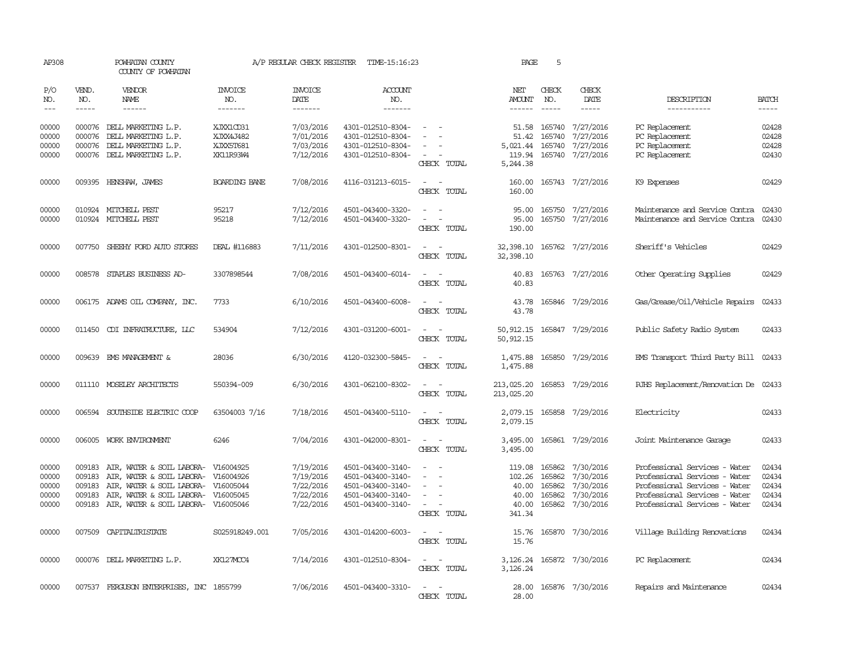| AP308               |                                      | POWHATAN COUNTY<br>COUNTY OF POWHATAN                                      |                                  | A/P REGULAR CHECK REGISTER | TIME-15:16:23                          |                                                                                                                                          | PAGE                     | 5                |                             |                                                                |                             |
|---------------------|--------------------------------------|----------------------------------------------------------------------------|----------------------------------|----------------------------|----------------------------------------|------------------------------------------------------------------------------------------------------------------------------------------|--------------------------|------------------|-----------------------------|----------------------------------------------------------------|-----------------------------|
| P/O<br>NO.<br>$---$ | VEND.<br>NO.<br>$\cdots\cdots\cdots$ | VENDOR<br>NAME<br>------                                                   | <b>INVOICE</b><br>NO.<br>------- | INVOICE<br>DATE<br>------- | <b>ACCOUNT</b><br>NO.<br>-------       |                                                                                                                                          | NET<br>AMOUNT<br>------  | CHECK<br>NO.     | CHECK<br>DATE<br>-----      | DESCRIPTION<br>-----------                                     | <b>BATCH</b><br>$- - - - -$ |
| 00000               |                                      | 000076 DELL MARKETING L.P.                                                 | XJXX1CD31                        | 7/03/2016                  | 4301-012510-8304-                      | $\sim$                                                                                                                                   |                          |                  | 51.58 165740 7/27/2016      | PC Replacement                                                 | 02428                       |
| 00000               | 000076                               | DELL MARKETING L.P.                                                        | XJXX4J482                        | 7/01/2016                  | 4301-012510-8304-                      | $\overline{\phantom{a}}$                                                                                                                 | 51.42                    | 165740           | 7/27/2016                   | PC Replacement                                                 | 02428                       |
| 00000               |                                      | 000076 DELL MARKETING L.P.                                                 | XJXX5T681                        | 7/03/2016                  | 4301-012510-8304-                      |                                                                                                                                          | 5,021.44                 | 165740           | 7/27/2016                   | PC Replacement                                                 | 02428                       |
| 00000               |                                      | 000076 DELL MARKETING L.P.                                                 | XK11R93W4                        | 7/12/2016                  | 4301-012510-8304-                      | $\sim$<br>CHECK TOTAL                                                                                                                    | 119.94<br>5,244.38       |                  | 165740 7/27/2016            | PC Replacement                                                 | 02430                       |
| 00000               |                                      | 009395 HENSHAW, JAMES                                                      | BOARDING BANE                    | 7/08/2016                  | 4116-031213-6015-                      | $\sim$ $ -$<br>CHECK TOTAL                                                                                                               | 160.00<br>160.00         |                  | 165743 7/27/2016            | K9 Expenses                                                    | 02429                       |
| 00000               |                                      | 010924 MITCHELL PEST                                                       | 95217                            | 7/12/2016                  | 4501-043400-3320-                      |                                                                                                                                          | 95.00                    |                  | 165750 7/27/2016            | Maintenance and Service Contra                                 | 02430                       |
| 00000               |                                      | 010924 MITCHELL PEST                                                       | 95218                            | 7/12/2016                  | 4501-043400-3320-                      | $\sim$ $\sim$<br>CHECK TOTAL                                                                                                             | 95.00<br>190.00          |                  | 165750 7/27/2016            | Maintenance and Service Contra                                 | 02430                       |
| 00000               |                                      | 007750 SHEEHY FORD AUTO STORES                                             | DEAL #116883                     | 7/11/2016                  | 4301-012500-8301-                      | $\frac{1}{2} \left( \frac{1}{2} \right) \left( \frac{1}{2} \right) \left( \frac{1}{2} \right) \left( \frac{1}{2} \right)$<br>CHECK TOTAL | 32,398.10                |                  | 32,398.10 165762 7/27/2016  | Sheriff's Vehicles                                             | 02429                       |
| 00000               | 008578                               | STAPLES BUSINESS AD-                                                       | 3307898544                       | 7/08/2016                  | 4501-043400-6014-                      | CHECK TOTAL                                                                                                                              | 40.83<br>40.83           |                  | 165763 7/27/2016            | Other Operating Supplies                                       | 02429                       |
| 00000               |                                      | 006175 ADAMS OIL COMPANY, INC.                                             | 7733                             | 6/10/2016                  | 4501-043400-6008-                      | CHECK TOTAL                                                                                                                              | 43.78<br>43.78           |                  | 165846 7/29/2016            | Gas/Grease/Oil/Vehicle Repairs                                 | 02433                       |
| 00000               |                                      | 011450 CDI INFRAIRUCTURE, LLC                                              | 534904                           | 7/12/2016                  | 4301-031200-6001-                      | $\overline{\phantom{a}}$<br>$\sim$<br>CHECK TOTAL                                                                                        | 50,912.15                |                  | 50, 912.15 165847 7/29/2016 | Public Safety Radio System                                     | 02433                       |
| 00000               |                                      | 009639 EMS MANAGEMENT &                                                    | 28036                            | 6/30/2016                  | 4120-032300-5845-                      | $\sim$<br>CHECK TOTAL                                                                                                                    | 1,475.88<br>1,475.88     |                  | 165850 7/29/2016            | EMS Transport Third Party Bill 02433                           |                             |
| 00000               |                                      | 011110 MOSELEY ARCHITECTS                                                  | 550394-009                       | 6/30/2016                  | 4301-062100-8302-                      | $\omega_{\rm{max}}$ , $\omega_{\rm{max}}$<br>CHECK TOTAL                                                                                 | 213,025.20<br>213,025.20 |                  | 165853 7/29/2016            | RJHS Replacement/Renovation De 02433                           |                             |
| 00000               |                                      | 006594 SOUTHSIDE ELECTRIC COOP                                             | 63504003 7/16                    | 7/18/2016                  | 4501-043400-5110-                      | $\sim$ $ -$<br>CHECK TOTAL                                                                                                               | 2,079.15                 |                  | 2,079.15 165858 7/29/2016   | Electricity                                                    | 02433                       |
| 00000               |                                      | 006005 WORK ENVIRONMENT                                                    | 6246                             | 7/04/2016                  | 4301-042000-8301-                      | $\overline{\phantom{a}}$<br>$\sim$<br>CHECK TOTAL                                                                                        | 3,495.00<br>3,495.00     |                  | 165861 7/29/2016            | Joint Maintenance Garage                                       | 02433                       |
| 00000               | 009183                               | AIR, WATER & SOIL LABORA- V16004925                                        |                                  | 7/19/2016                  | 4501-043400-3140-                      | $\overline{\phantom{a}}$                                                                                                                 | 119.08                   | 165862           | 7/30/2016                   | Professional Services - Water                                  | 02434                       |
| 00000               | 009183                               | AIR, WATER & SOIL LABORA- V16004926                                        |                                  | 7/19/2016                  | 4501-043400-3140-                      |                                                                                                                                          | 102.26                   | 165862           | 7/30/2016                   | Professional Services - Water                                  | 02434                       |
| 00000<br>00000      | 009183<br>009183                     | AIR, WATER & SOIL LABORA- V16005044<br>AIR, WATER & SOIL LABORA- V16005045 |                                  | 7/22/2016<br>7/22/2016     | 4501-043400-3140-<br>4501-043400-3140- | $\overline{\phantom{a}}$<br>$\sim$<br>$\overline{\phantom{a}}$                                                                           | 40.00<br>40.00           | 165862<br>165862 | 7/30/2016<br>7/30/2016      | Professional Services - Water<br>Professional Services - Water | 02434<br>02434              |
| 00000               |                                      | 009183 AIR, WATER & SOIL LABORA-                                           | V16005046                        | 7/22/2016                  | 4501-043400-3140-                      | $\sim$<br>CHECK TOTAL                                                                                                                    | 40.00<br>341.34          | 165862           | 7/30/2016                   | Professional Services - Water                                  | 02434                       |
| 00000               |                                      | 007509 CAPITALIRISTATE                                                     | S025918249.001                   | 7/05/2016                  | 4301-014200-6003-                      | $\overline{\phantom{a}}$<br>CHECK TOTAL                                                                                                  | 15.76<br>15.76           |                  | 165870 7/30/2016            | Village Building Renovations                                   | 02434                       |
| 00000               |                                      | 000076 DELL MARKETING L.P.                                                 | XK127MCC4                        | 7/14/2016                  | 4301-012510-8304-                      | $\sim$ 100 $\mu$<br>$\sim$<br>CHECK TOTAL                                                                                                | 3,126.24                 |                  | 3, 126.24 165872 7/30/2016  | PC Replacement                                                 | 02434                       |
| 00000               |                                      | 007537 FERGUSON ENTERPRISES, INC 1855799                                   |                                  | 7/06/2016                  | 4501-043400-3310-                      | $\sim$ $\sim$                                                                                                                            | 28.00                    |                  | 165876 7/30/2016            | Repairs and Maintenance                                        | 02434                       |
|                     |                                      |                                                                            |                                  |                            |                                        | CHRCK TOTAL                                                                                                                              | 28.00                    |                  |                             |                                                                |                             |